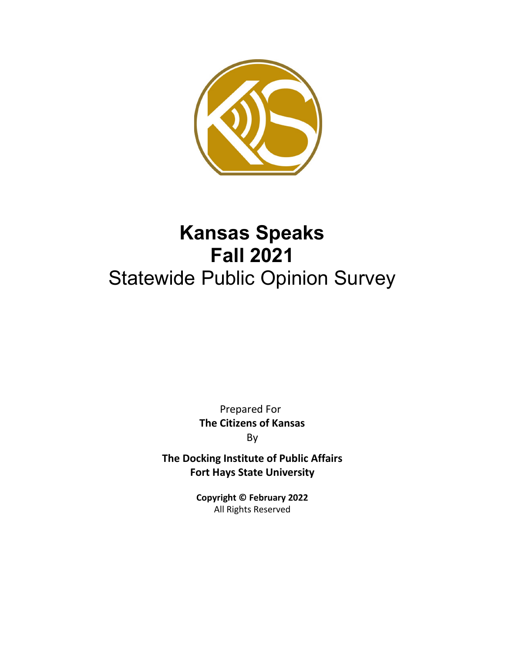

# **Kansas Speaks Fall 2021** Statewide Public Opinion Survey

Prepared For **The Citizens of Kansas** By

**The Docking Institute of Public Affairs Fort Hays State University**

> **Copyright © February 2022** All Rights Reserved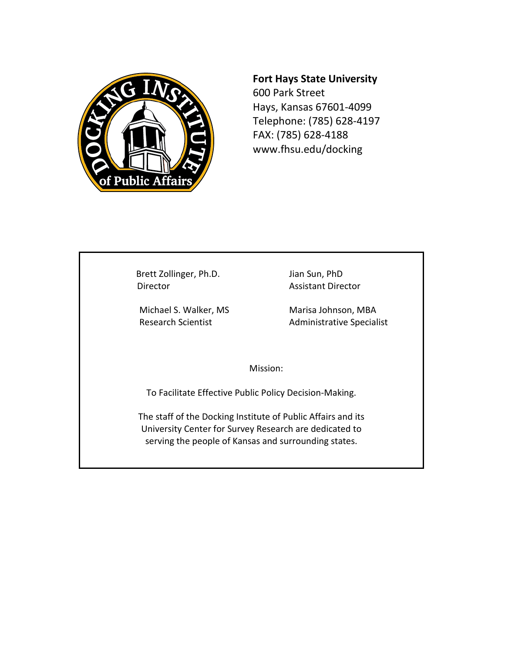

# **Fort Hays State University**

600 Park Street Hays, Kansas 67601-4099 Telephone: (785) 628-4197 FAX: (785) 628-4188 www.fhsu.edu/docking

Brett Zollinger, Ph.D. Jian Sun, PhD Director **Assistant Director** 

Michael S. Walker, MS Marisa Johnson, MBA Research Scientist **Administrative Specialist** 

Mission:

To Facilitate Effective Public Policy Decision-Making.

The staff of the Docking Institute of Public Affairs and its University Center for Survey Research are dedicated to serving the people of Kansas and surrounding states.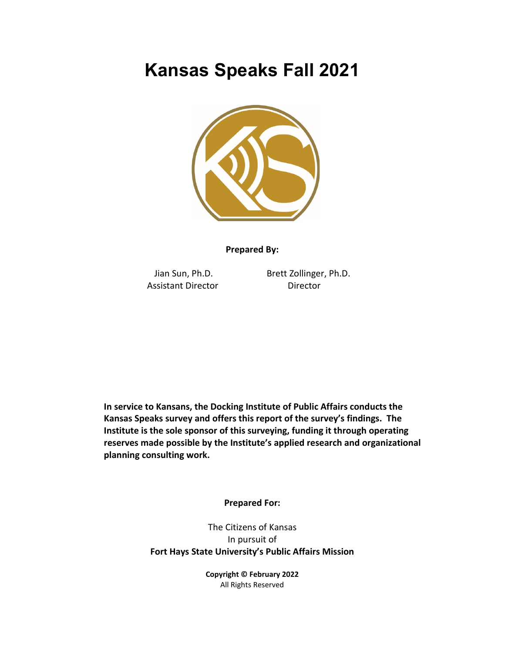# **Kansas Speaks Fall 2021**



**Prepared By:**

Assistant Director **Director** 

Jian Sun, Ph.D. Brett Zollinger, Ph.D.

**In service to Kansans, the Docking Institute of Public Affairs conducts the Kansas Speaks survey and offers this report of the survey's findings. The Institute is the sole sponsor of this surveying, funding it through operating reserves made possible by the Institute's applied research and organizational planning consulting work.**

**Prepared For:**

The Citizens of Kansas In pursuit of **Fort Hays State University's Public Affairs Mission**

> **Copyright © February 2022** All Rights Reserved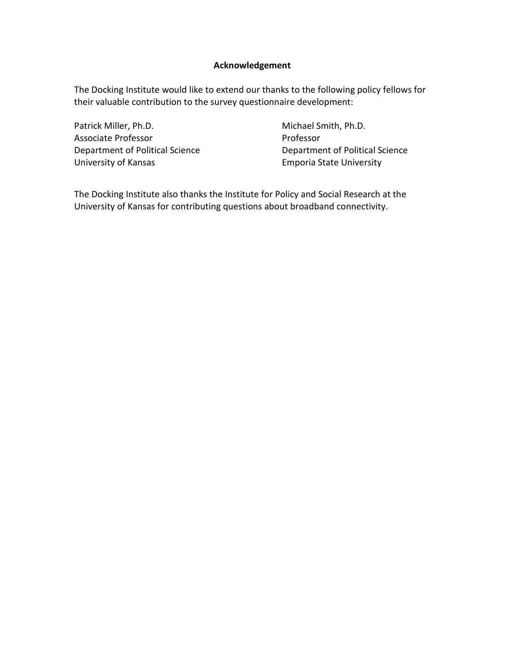# **Acknowledgement**

The Docking Institute would like to extend our thanks to the following policy fellows for their valuable contribution to the survey questionnaire development:

Patrick Miller, Ph.D. Michael Smith, Ph.D. Associate Professor **Professor** Professor University of Kansas **Emporia State University** 

Department of Political Science Department of Political Science

The Docking Institute also thanks the Institute for Policy and Social Research at the University of Kansas for contributing questions about broadband connectivity.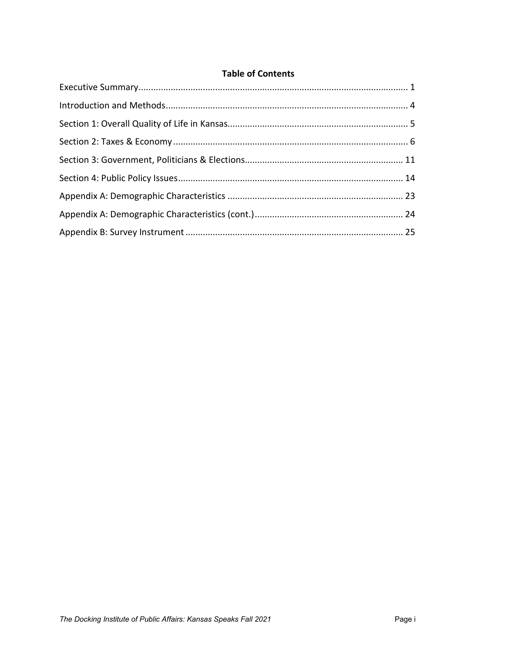# **Table of Contents**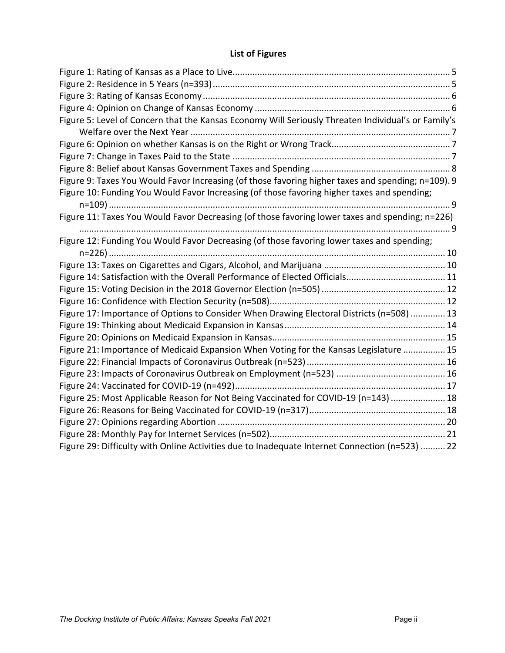# **List of Figures**

| Figure 5: Level of Concern that the Kansas Economy Will Seriously Threaten Individual's or Family's |  |
|-----------------------------------------------------------------------------------------------------|--|
|                                                                                                     |  |
|                                                                                                     |  |
|                                                                                                     |  |
|                                                                                                     |  |
| Figure 9: Taxes You Would Favor Increasing (of those favoring higher taxes and spending; n=109). 9  |  |
| Figure 10: Funding You Would Favor Increasing (of those favoring higher taxes and spending;         |  |
|                                                                                                     |  |
| Figure 11: Taxes You Would Favor Decreasing (of those favoring lower taxes and spending; n=226)     |  |
|                                                                                                     |  |
| Figure 12: Funding You Would Favor Decreasing (of those favoring lower taxes and spending;          |  |
|                                                                                                     |  |
|                                                                                                     |  |
|                                                                                                     |  |
|                                                                                                     |  |
|                                                                                                     |  |
| Figure 17: Importance of Options to Consider When Drawing Electoral Districts (n=508)  13           |  |
|                                                                                                     |  |
|                                                                                                     |  |
| Figure 21: Importance of Medicaid Expansion When Voting for the Kansas Legislature  15              |  |
|                                                                                                     |  |
|                                                                                                     |  |
|                                                                                                     |  |
| Figure 25: Most Applicable Reason for Not Being Vaccinated for COVID-19 (n=143)  18                 |  |
|                                                                                                     |  |
|                                                                                                     |  |
|                                                                                                     |  |
| Figure 29: Difficulty with Online Activities due to Inadequate Internet Connection (n=523)  22      |  |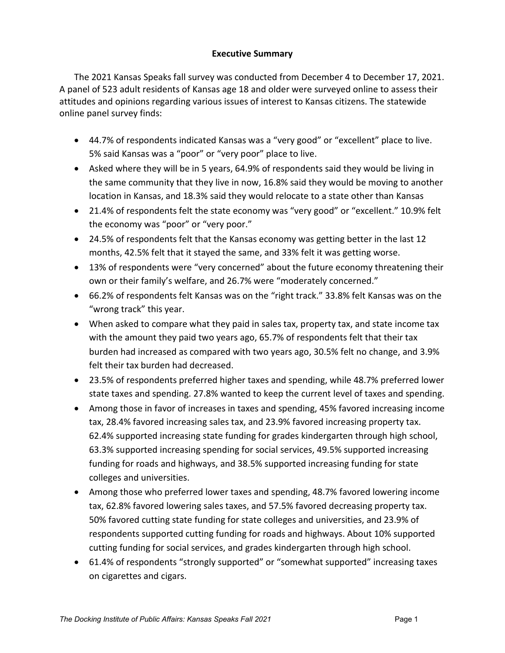# **Executive Summary**

<span id="page-6-0"></span>The 2021 Kansas Speaks fall survey was conducted from December 4 to December 17, 2021. A panel of 523 adult residents of Kansas age 18 and older were surveyed online to assess their attitudes and opinions regarding various issues of interest to Kansas citizens. The statewide online panel survey finds:

- 44.7% of respondents indicated Kansas was a "very good" or "excellent" place to live. 5% said Kansas was a "poor" or "very poor" place to live.
- Asked where they will be in 5 years, 64.9% of respondents said they would be living in the same community that they live in now, 16.8% said they would be moving to another location in Kansas, and 18.3% said they would relocate to a state other than Kansas
- 21.4% of respondents felt the state economy was "very good" or "excellent." 10.9% felt the economy was "poor" or "very poor."
- 24.5% of respondents felt that the Kansas economy was getting better in the last 12 months, 42.5% felt that it stayed the same, and 33% felt it was getting worse.
- 13% of respondents were "very concerned" about the future economy threatening their own or their family's welfare, and 26.7% were "moderately concerned."
- 66.2% of respondents felt Kansas was on the "right track." 33.8% felt Kansas was on the "wrong track" this year.
- When asked to compare what they paid in sales tax, property tax, and state income tax with the amount they paid two years ago, 65.7% of respondents felt that their tax burden had increased as compared with two years ago, 30.5% felt no change, and 3.9% felt their tax burden had decreased.
- 23.5% of respondents preferred higher taxes and spending, while 48.7% preferred lower state taxes and spending. 27.8% wanted to keep the current level of taxes and spending.
- Among those in favor of increases in taxes and spending, 45% favored increasing income tax, 28.4% favored increasing sales tax, and 23.9% favored increasing property tax. 62.4% supported increasing state funding for grades kindergarten through high school, 63.3% supported increasing spending for social services, 49.5% supported increasing funding for roads and highways, and 38.5% supported increasing funding for state colleges and universities.
- Among those who preferred lower taxes and spending, 48.7% favored lowering income tax, 62.8% favored lowering sales taxes, and 57.5% favored decreasing property tax. 50% favored cutting state funding for state colleges and universities, and 23.9% of respondents supported cutting funding for roads and highways. About 10% supported cutting funding for social services, and grades kindergarten through high school.
- 61.4% of respondents "strongly supported" or "somewhat supported" increasing taxes on cigarettes and cigars.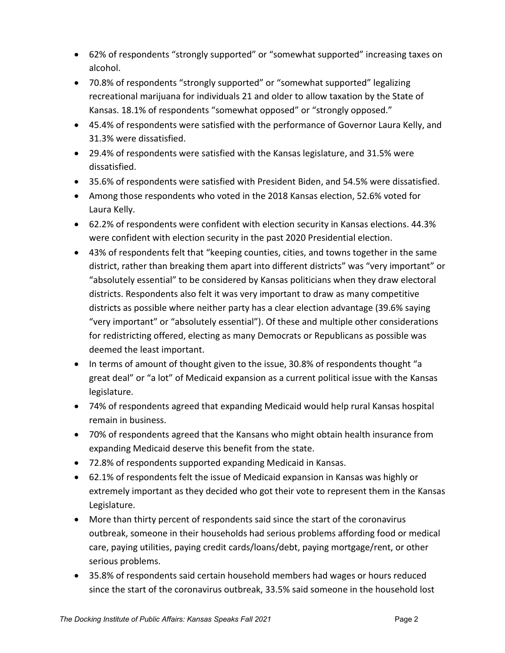- 62% of respondents "strongly supported" or "somewhat supported" increasing taxes on alcohol.
- 70.8% of respondents "strongly supported" or "somewhat supported" legalizing recreational marijuana for individuals 21 and older to allow taxation by the State of Kansas. 18.1% of respondents "somewhat opposed" or "strongly opposed."
- 45.4% of respondents were satisfied with the performance of Governor Laura Kelly, and 31.3% were dissatisfied.
- 29.4% of respondents were satisfied with the Kansas legislature, and 31.5% were dissatisfied.
- 35.6% of respondents were satisfied with President Biden, and 54.5% were dissatisfied.
- Among those respondents who voted in the 2018 Kansas election, 52.6% voted for Laura Kelly.
- 62.2% of respondents were confident with election security in Kansas elections. 44.3% were confident with election security in the past 2020 Presidential election.
- 43% of respondents felt that "keeping counties, cities, and towns together in the same district, rather than breaking them apart into different districts" was "very important" or "absolutely essential" to be considered by Kansas politicians when they draw electoral districts. Respondents also felt it was very important to draw as many competitive districts as possible where neither party has a clear election advantage (39.6% saying "very important" or "absolutely essential"). Of these and multiple other considerations for redistricting offered, electing as many Democrats or Republicans as possible was deemed the least important.
- In terms of amount of thought given to the issue, 30.8% of respondents thought "a great deal" or "a lot" of Medicaid expansion as a current political issue with the Kansas legislature.
- 74% of respondents agreed that expanding Medicaid would help rural Kansas hospital remain in business.
- 70% of respondents agreed that the Kansans who might obtain health insurance from expanding Medicaid deserve this benefit from the state.
- 72.8% of respondents supported expanding Medicaid in Kansas.
- 62.1% of respondents felt the issue of Medicaid expansion in Kansas was highly or extremely important as they decided who got their vote to represent them in the Kansas Legislature.
- More than thirty percent of respondents said since the start of the coronavirus outbreak, someone in their households had serious problems affording food or medical care, paying utilities, paying credit cards/loans/debt, paying mortgage/rent, or other serious problems.
- 35.8% of respondents said certain household members had wages or hours reduced since the start of the coronavirus outbreak, 33.5% said someone in the household lost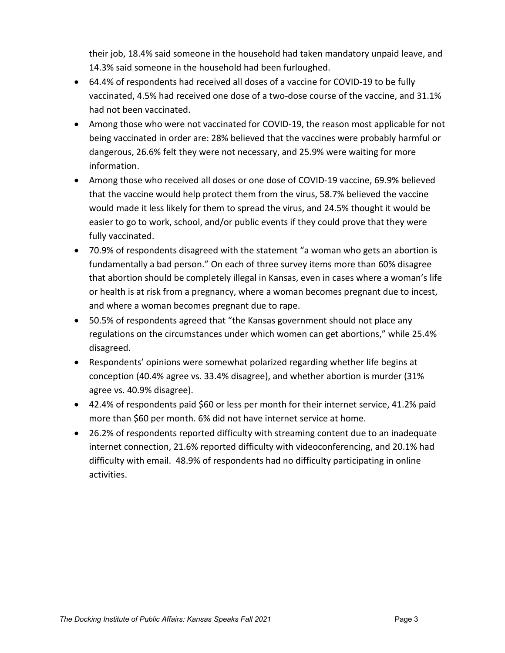their job, 18.4% said someone in the household had taken mandatory unpaid leave, and 14.3% said someone in the household had been furloughed.

- 64.4% of respondents had received all doses of a vaccine for COVID-19 to be fully vaccinated, 4.5% had received one dose of a two-dose course of the vaccine, and 31.1% had not been vaccinated.
- Among those who were not vaccinated for COVID-19, the reason most applicable for not being vaccinated in order are: 28% believed that the vaccines were probably harmful or dangerous, 26.6% felt they were not necessary, and 25.9% were waiting for more information.
- Among those who received all doses or one dose of COVID-19 vaccine, 69.9% believed that the vaccine would help protect them from the virus, 58.7% believed the vaccine would made it less likely for them to spread the virus, and 24.5% thought it would be easier to go to work, school, and/or public events if they could prove that they were fully vaccinated.
- 70.9% of respondents disagreed with the statement "a woman who gets an abortion is fundamentally a bad person." On each of three survey items more than 60% disagree that abortion should be completely illegal in Kansas, even in cases where a woman's life or health is at risk from a pregnancy, where a woman becomes pregnant due to incest, and where a woman becomes pregnant due to rape.
- 50.5% of respondents agreed that "the Kansas government should not place any regulations on the circumstances under which women can get abortions," while 25.4% disagreed.
- Respondents' opinions were somewhat polarized regarding whether life begins at conception (40.4% agree vs. 33.4% disagree), and whether abortion is murder (31% agree vs. 40.9% disagree).
- 42.4% of respondents paid \$60 or less per month for their internet service, 41.2% paid more than \$60 per month. 6% did not have internet service at home.
- 26.2% of respondents reported difficulty with streaming content due to an inadequate internet connection, 21.6% reported difficulty with videoconferencing, and 20.1% had difficulty with email. 48.9% of respondents had no difficulty participating in online activities.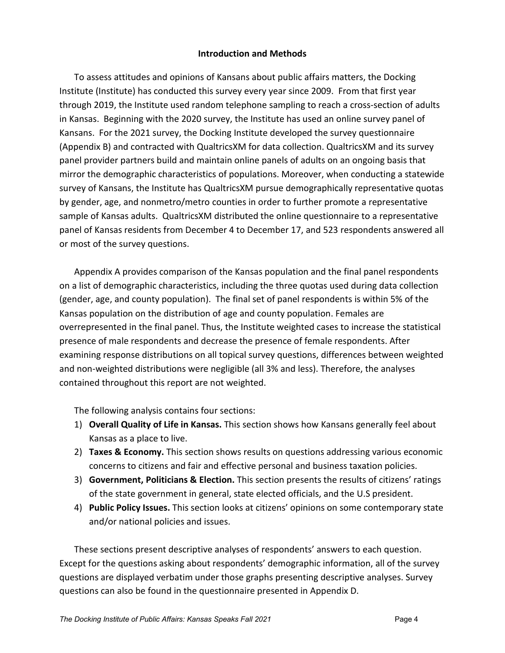# **Introduction and Methods**

<span id="page-9-0"></span>To assess attitudes and opinions of Kansans about public affairs matters, the Docking Institute (Institute) has conducted this survey every year since 2009. From that first year through 2019, the Institute used random telephone sampling to reach a cross-section of adults in Kansas. Beginning with the 2020 survey, the Institute has used an online survey panel of Kansans. For the 2021 survey, the Docking Institute developed the survey questionnaire (Appendix B) and contracted with QualtricsXM for data collection. QualtricsXM and its survey panel provider partners build and maintain online panels of adults on an ongoing basis that mirror the demographic characteristics of populations. Moreover, when conducting a statewide survey of Kansans, the Institute has QualtricsXM pursue demographically representative quotas by gender, age, and nonmetro/metro counties in order to further promote a representative sample of Kansas adults. QualtricsXM distributed the online questionnaire to a representative panel of Kansas residents from December 4 to December 17, and 523 respondents answered all or most of the survey questions.

Appendix A provides comparison of the Kansas population and the final panel respondents on a list of demographic characteristics, including the three quotas used during data collection (gender, age, and county population). The final set of panel respondents is within 5% of the Kansas population on the distribution of age and county population. Females are overrepresented in the final panel. Thus, the Institute weighted cases to increase the statistical presence of male respondents and decrease the presence of female respondents. After examining response distributions on all topical survey questions, differences between weighted and non-weighted distributions were negligible (all 3% and less). Therefore, the analyses contained throughout this report are not weighted.

The following analysis contains four sections:

- 1) **Overall Quality of Life in Kansas.** This section shows how Kansans generally feel about Kansas as a place to live.
- 2) **Taxes & Economy.** This section shows results on questions addressing various economic concerns to citizens and fair and effective personal and business taxation policies.
- 3) **Government, Politicians & Election.** This section presents the results of citizens' ratings of the state government in general, state elected officials, and the U.S president.
- 4) **Public Policy Issues.** This section looks at citizens' opinions on some contemporary state and/or national policies and issues.

These sections present descriptive analyses of respondents' answers to each question. Except for the questions asking about respondents' demographic information, all of the survey questions are displayed verbatim under those graphs presenting descriptive analyses. Survey questions can also be found in the questionnaire presented in Appendix D.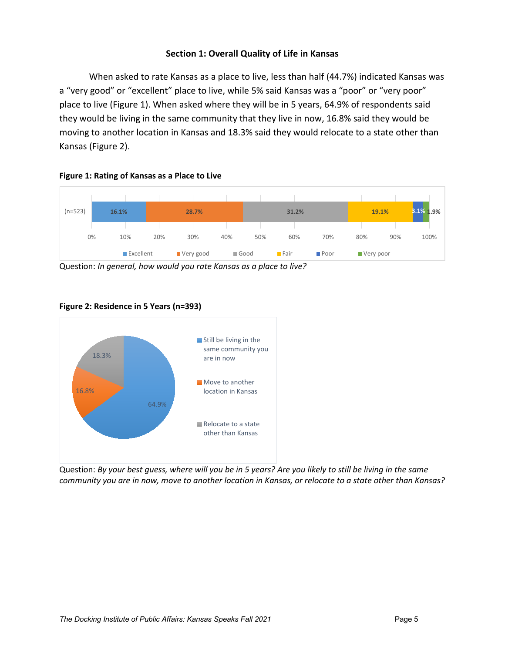# **Section 1: Overall Quality of Life in Kansas**

<span id="page-10-0"></span>When asked to rate Kansas as a place to live, less than half (44.7%) indicated Kansas was a "very good" or "excellent" place to live, while 5% said Kansas was a "poor" or "very poor" place to live (Figure 1). When asked where they will be in 5 years, 64.9% of respondents said they would be living in the same community that they live in now, 16.8% said they would be moving to another location in Kansas and 18.3% said they would relocate to a state other than Kansas (Figure 2).



<span id="page-10-1"></span>**Figure 1: Rating of Kansas as a Place to Live**

Question: *In general, how would you rate Kansas as a place to live?*



#### <span id="page-10-2"></span>**Figure 2: Residence in 5 Years (n=393)**

Question: *By your best guess, where will you be in 5 years? Are you likely to still be living in the same community you are in now, move to another location in Kansas, or relocate to a state other than Kansas?*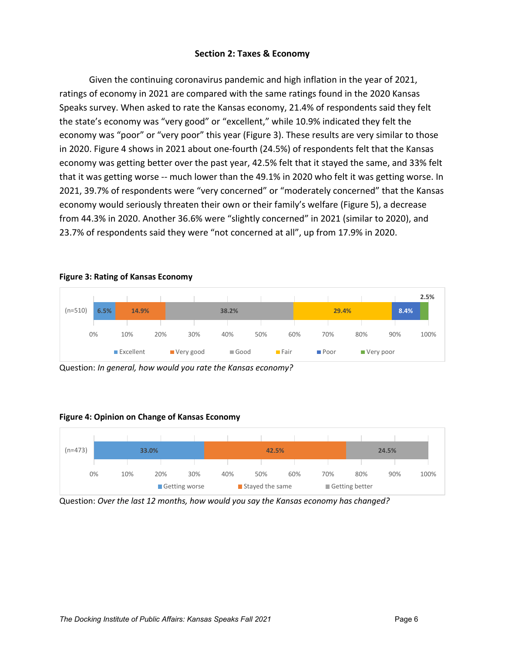# **Section 2: Taxes & Economy**

<span id="page-11-0"></span>Given the continuing coronavirus pandemic and high inflation in the year of 2021, ratings of economy in 2021 are compared with the same ratings found in the 2020 Kansas Speaks survey. When asked to rate the Kansas economy, 21.4% of respondents said they felt the state's economy was "very good" or "excellent," while 10.9% indicated they felt the economy was "poor" or "very poor" this year (Figure 3). These results are very similar to those in 2020. Figure 4 shows in 2021 about one-fourth (24.5%) of respondents felt that the Kansas economy was getting better over the past year, 42.5% felt that it stayed the same, and 33% felt that it was getting worse -- much lower than the 49.1% in 2020 who felt it was getting worse. In 2021, 39.7% of respondents were "very concerned" or "moderately concerned" that the Kansas economy would seriously threaten their own or their family's welfare (Figure 5), a decrease from 44.3% in 2020. Another 36.6% were "slightly concerned" in 2021 (similar to 2020), and 23.7% of respondents said they were "not concerned at all", up from 17.9% in 2020.

#### <span id="page-11-1"></span>**Figure 3: Rating of Kansas Economy**

|           |      |           |     |           |       |     |               |                     |       |             | 2.5% |
|-----------|------|-----------|-----|-----------|-------|-----|---------------|---------------------|-------|-------------|------|
| $(n=510)$ | 6.5% | 14.9%     |     |           | 38.2% |     |               |                     | 29.4% | 8.4%        |      |
|           |      |           |     |           |       |     |               |                     |       |             |      |
|           | 0%   | 10%       | 20% | 30%       | 40%   | 50% | 60%           | 70%                 | 80%   | 90%         | 100% |
|           |      | Excellent |     | Very good | Good  |     | <b>■</b> Fair | $\blacksquare$ Poor |       | ■ Very poor |      |

Question: *In general, how would you rate the Kansas economy?*

#### <span id="page-11-2"></span>**Figure 4: Opinion on Change of Kansas Economy**



Question: *Over the last 12 months, how would you say the Kansas economy has changed?*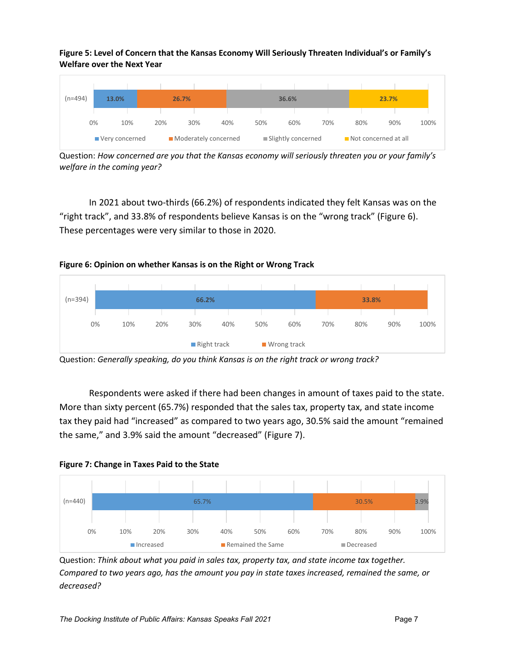<span id="page-12-0"></span>**Figure 5: Level of Concern that the Kansas Economy Will Seriously Threaten Individual's or Family's Welfare over the Next Year**



Question: *How concerned are you that the Kansas economy will seriously threaten you or your family's welfare in the coming year?*

In 2021 about two-thirds (66.2%) of respondents indicated they felt Kansas was on the "right track", and 33.8% of respondents believe Kansas is on the "wrong track" (Figure 6). These percentages were very similar to those in 2020.

<span id="page-12-1"></span>



Respondents were asked if there had been changes in amount of taxes paid to the state. More than sixty percent (65.7%) responded that the sales tax, property tax, and state income tax they paid had "increased" as compared to two years ago, 30.5% said the amount "remained the same," and 3.9% said the amount "decreased" (Figure 7).

<span id="page-12-2"></span>



Question: *Think about what you paid in sales tax, property tax, and state income tax together. Compared to two years ago, has the amount you pay in state taxes increased, remained the same, or decreased?*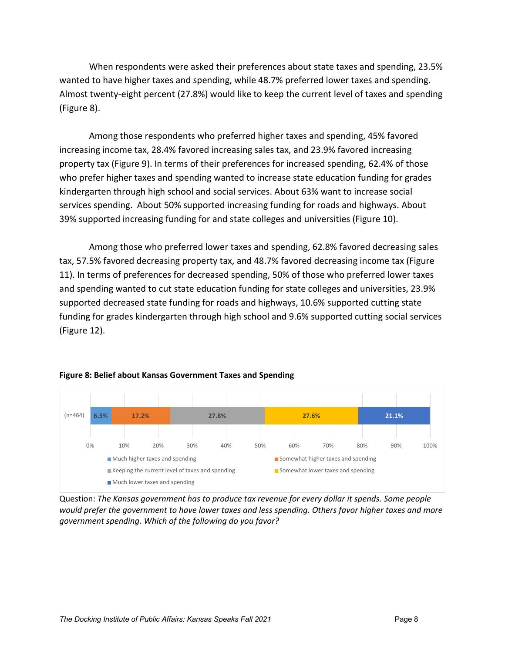When respondents were asked their preferences about state taxes and spending, 23.5% wanted to have higher taxes and spending, while 48.7% preferred lower taxes and spending. Almost twenty-eight percent (27.8%) would like to keep the current level of taxes and spending (Figure 8).

Among those respondents who preferred higher taxes and spending, 45% favored increasing income tax, 28.4% favored increasing sales tax, and 23.9% favored increasing property tax (Figure 9). In terms of their preferences for increased spending, 62.4% of those who prefer higher taxes and spending wanted to increase state education funding for grades kindergarten through high school and social services. About 63% want to increase social services spending. About 50% supported increasing funding for roads and highways. About 39% supported increasing funding for and state colleges and universities (Figure 10).

Among those who preferred lower taxes and spending, 62.8% favored decreasing sales tax, 57.5% favored decreasing property tax, and 48.7% favored decreasing income tax (Figure 11). In terms of preferences for decreased spending, 50% of those who preferred lower taxes and spending wanted to cut state education funding for state colleges and universities, 23.9% supported decreased state funding for roads and highways, 10.6% supported cutting state funding for grades kindergarten through high school and 9.6% supported cutting social services (Figure 12).



#### <span id="page-13-0"></span>**Figure 8: Belief about Kansas Government Taxes and Spending**

Question: *The Kansas government has to produce tax revenue for every dollar it spends. Some people would prefer the government to have lower taxes and less spending. Others favor higher taxes and more government spending. Which of the following do you favor?*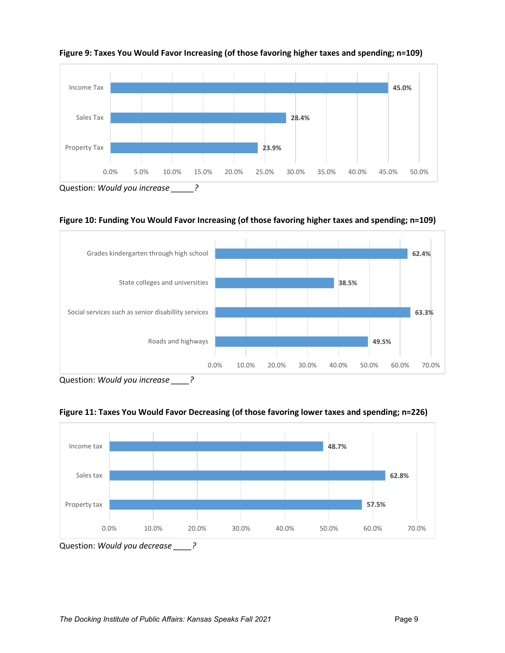

<span id="page-14-0"></span>**Figure 9: Taxes You Would Favor Increasing (of those favoring higher taxes and spending; n=109)**

<span id="page-14-1"></span>**Figure 10: Funding You Would Favor Increasing (of those favoring higher taxes and spending; n=109)**



Question: *Would you increase \_\_\_\_?*

<span id="page-14-2"></span>



Question: *Would you decrease \_\_\_\_?*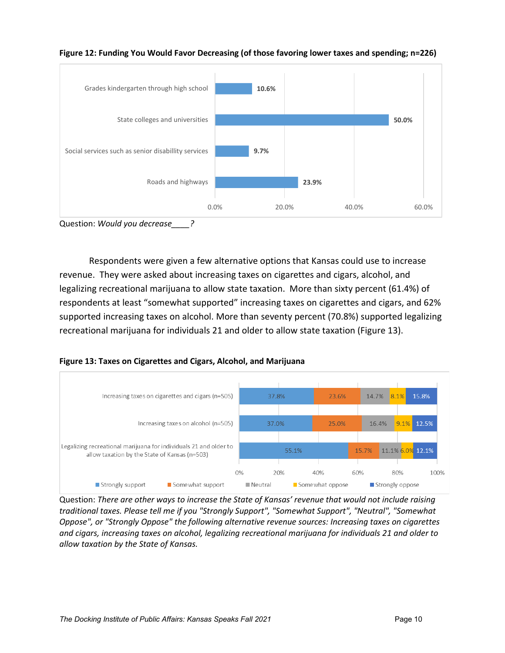

<span id="page-15-0"></span>**Figure 12: Funding You Would Favor Decreasing (of those favoring lower taxes and spending; n=226)**

Question: *Would you decrease\_\_\_\_?*

Respondents were given a few alternative options that Kansas could use to increase revenue. They were asked about increasing taxes on cigarettes and cigars, alcohol, and legalizing recreational marijuana to allow state taxation. More than sixty percent (61.4%) of respondents at least "somewhat supported" increasing taxes on cigarettes and cigars, and 62% supported increasing taxes on alcohol. More than seventy percent (70.8%) supported legalizing recreational marijuana for individuals 21 and older to allow state taxation (Figure 13).

<span id="page-15-1"></span>



Question: *There are other ways to increase the State of Kansas' revenue that would not include raising traditional taxes. Please tell me if you "Strongly Support", "Somewhat Support", "Neutral", "Somewhat Oppose", or "Strongly Oppose" the following alternative revenue sources: Increasing taxes on cigarettes and cigars, increasing taxes on alcohol, legalizing recreational marijuana for individuals 21 and older to allow taxation by the State of Kansas.*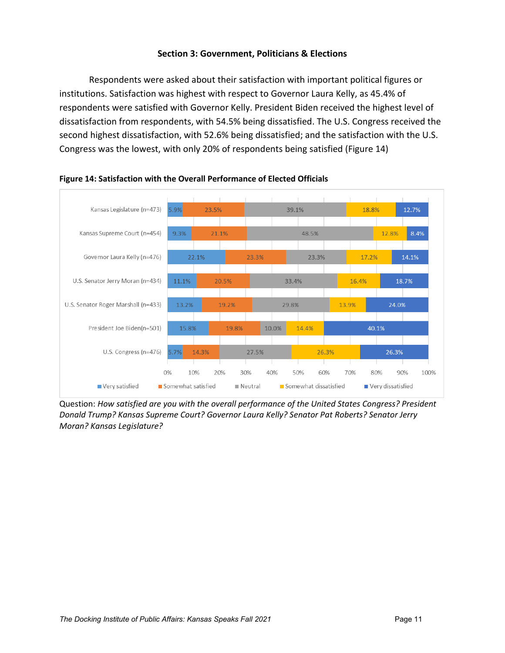# **Section 3: Government, Politicians & Elections**

<span id="page-16-0"></span>Respondents were asked about their satisfaction with important political figures or institutions. Satisfaction was highest with respect to Governor Laura Kelly, as 45.4% of respondents were satisfied with Governor Kelly. President Biden received the highest level of dissatisfaction from respondents, with 54.5% being dissatisfied. The U.S. Congress received the second highest dissatisfaction, with 52.6% being dissatisfied; and the satisfaction with the U.S. Congress was the lowest, with only 20% of respondents being satisfied (Figure 14)



### <span id="page-16-1"></span>**Figure 14: Satisfaction with the Overall Performance of Elected Officials**

Question: *How satisfied are you with the overall performance of the United States Congress? President Donald Trump? Kansas Supreme Court? Governor Laura Kelly? Senator Pat Roberts? Senator Jerry Moran? Kansas Legislature?*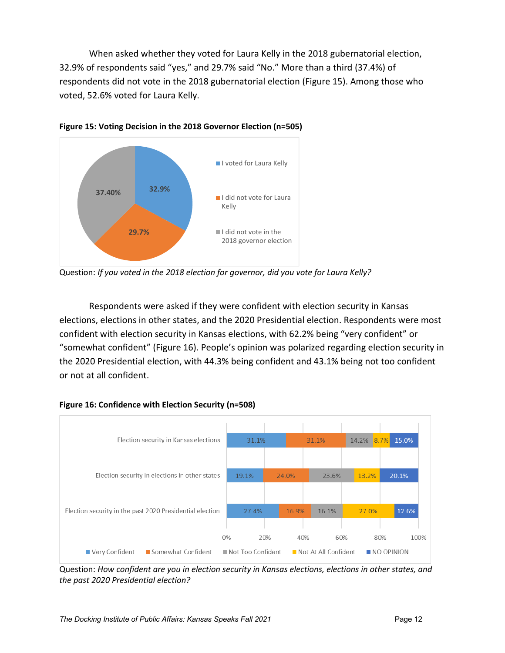When asked whether they voted for Laura Kelly in the 2018 gubernatorial election, 32.9% of respondents said "yes," and 29.7% said "No." More than a third (37.4%) of respondents did not vote in the 2018 gubernatorial election (Figure 15). Among those who voted, 52.6% voted for Laura Kelly.



<span id="page-17-0"></span>**Figure 15: Voting Decision in the 2018 Governor Election (n=505)** 

Question: *If you voted in the 2018 election for governor, did you vote for Laura Kelly?*

Respondents were asked if they were confident with election security in Kansas elections, elections in other states, and the 2020 Presidential election. Respondents were most confident with election security in Kansas elections, with 62.2% being "very confident" or "somewhat confident" (Figure 16). People's opinion was polarized regarding election security in the 2020 Presidential election, with 44.3% being confident and 43.1% being not too confident or not at all confident.

<span id="page-17-1"></span>



Question: *How confident are you in election security in Kansas elections, elections in other states, and the past 2020 Presidential election?*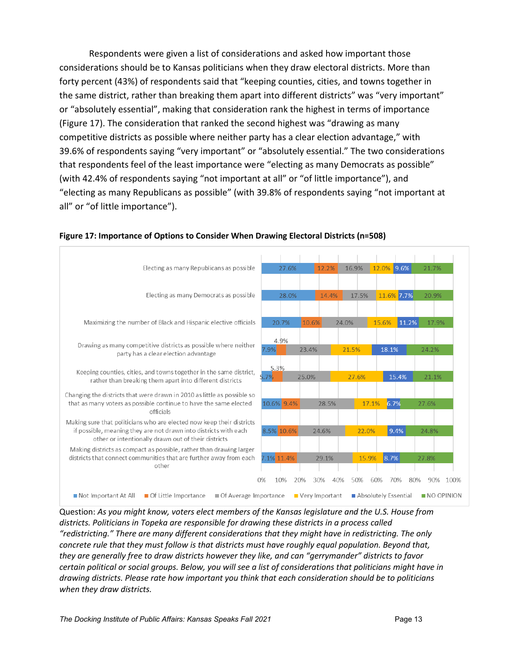Respondents were given a list of considerations and asked how important those considerations should be to Kansas politicians when they draw electoral districts. More than forty percent (43%) of respondents said that "keeping counties, cities, and towns together in the same district, rather than breaking them apart into different districts" was "very important" or "absolutely essential", making that consideration rank the highest in terms of importance (Figure 17). The consideration that ranked the second highest was "drawing as many competitive districts as possible where neither party has a clear election advantage," with 39.6% of respondents saying "very important" or "absolutely essential." The two considerations that respondents feel of the least importance were "electing as many Democrats as possible" (with 42.4% of respondents saying "not important at all" or "of little importance"), and "electing as many Republicans as possible" (with 39.8% of respondents saying "not important at all" or "of little importance").



### <span id="page-18-0"></span>**Figure 17: Importance of Options to Consider When Drawing Electoral Districts (n=508)**

Question: *As you might know, voters elect members of the Kansas legislature and the U.S. House from districts. Politicians in Topeka are responsible for drawing these districts in a process called "redistricting." There are many different considerations that they might have in redistricting. The only concrete rule that they must follow is that districts must have roughly equal population. Beyond that, they are generally free to draw districts however they like, and can "gerrymander" districts to favor certain political or social groups. Below, you will see a list of considerations that politicians might have in drawing districts. Please rate how important you think that each consideration should be to politicians when they draw districts.*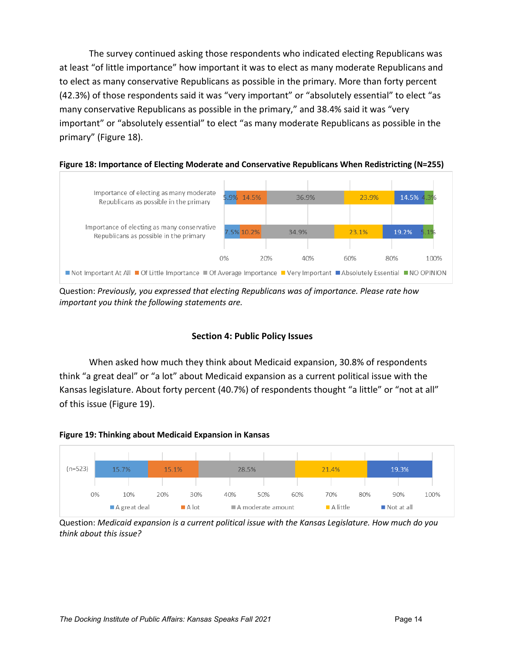The survey continued asking those respondents who indicated electing Republicans was at least "of little importance" how important it was to elect as many moderate Republicans and to elect as many conservative Republicans as possible in the primary. More than forty percent (42.3%) of those respondents said it was "very important" or "absolutely essential" to elect "as many conservative Republicans as possible in the primary," and 38.4% said it was "very important" or "absolutely essential" to elect "as many moderate Republicans as possible in the primary" (Figure 18).





Question: *Previously, you expressed that electing Republicans was of importance. Please rate how important you think the following statements are.* 

# **Section 4: Public Policy Issues**

<span id="page-19-0"></span>When asked how much they think about Medicaid expansion, 30.8% of respondents think "a great deal" or "a lot" about Medicaid expansion as a current political issue with the Kansas legislature. About forty percent (40.7%) of respondents thought "a little" or "not at all" of this issue (Figure 19).

<span id="page-19-1"></span>



Question: *Medicaid expansion is a current political issue with the Kansas Legislature. How much do you think about this issue?*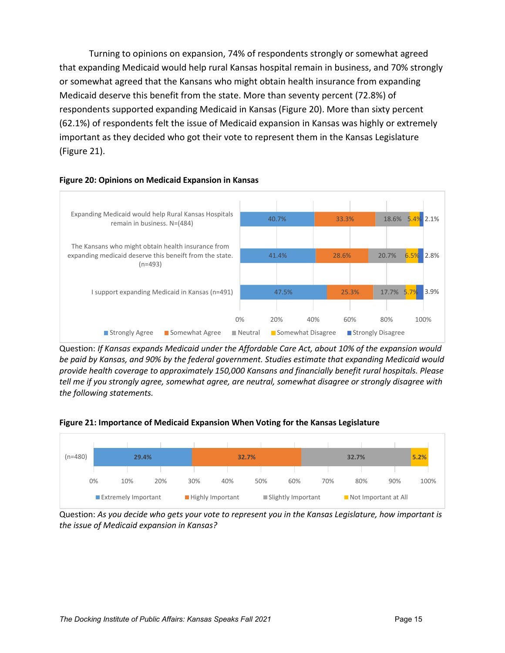Turning to opinions on expansion, 74% of respondents strongly or somewhat agreed that expanding Medicaid would help rural Kansas hospital remain in business, and 70% strongly or somewhat agreed that the Kansans who might obtain health insurance from expanding Medicaid deserve this benefit from the state. More than seventy percent (72.8%) of respondents supported expanding Medicaid in Kansas (Figure 20). More than sixty percent (62.1%) of respondents felt the issue of Medicaid expansion in Kansas was highly or extremely important as they decided who got their vote to represent them in the Kansas Legislature (Figure 21).



#### <span id="page-20-0"></span>**Figure 20: Opinions on Medicaid Expansion in Kansas**

Question: *If Kansas expands Medicaid under the Affordable Care Act, about 10% of the expansion would be paid by Kansas, and 90% by the federal government. Studies estimate that expanding Medicaid would provide health coverage to approximately 150,000 Kansans and financially benefit rural hospitals. Please tell me if you strongly agree, somewhat agree, are neutral, somewhat disagree or strongly disagree with the following statements.*

<span id="page-20-1"></span>



Question: *As you decide who gets your vote to represent you in the Kansas Legislature, how important is the issue of Medicaid expansion in Kansas?*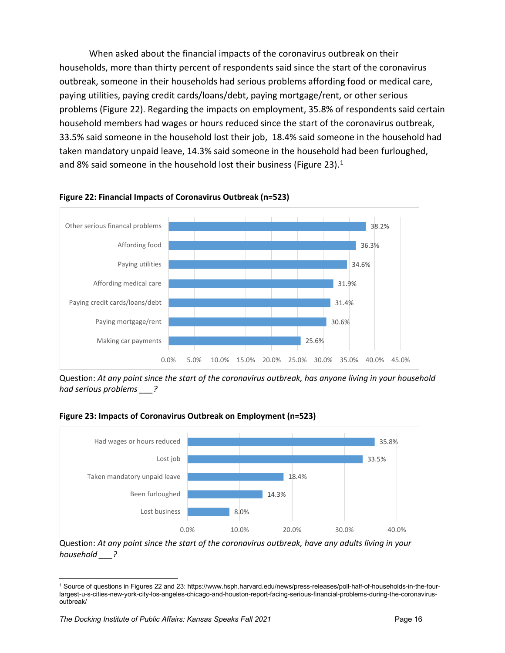When asked about the financial impacts of the coronavirus outbreak on their households, more than thirty percent of respondents said since the start of the coronavirus outbreak, someone in their households had serious problems affording food or medical care, paying utilities, paying credit cards/loans/debt, paying mortgage/rent, or other serious problems (Figure 22). Regarding the impacts on employment, 35.8% of respondents said certain household members had wages or hours reduced since the start of the coronavirus outbreak, 33.5% said someone in the household lost their job, 18.4% said someone in the household had taken mandatory unpaid leave, 14.3% said someone in the household had been furloughed, and 8% said someone in the household lost their business (Figure 23). $<sup>1</sup>$  $<sup>1</sup>$  $<sup>1</sup>$ </sup>



#### <span id="page-21-0"></span>**Figure 22: Financial Impacts of Coronavirus Outbreak (n=523)**

Question: *At any point since the start of the coronavirus outbreak, has anyone living in your household had serious problems \_\_\_?*

<span id="page-21-1"></span>



Question: *At any point since the start of the coronavirus outbreak, have any adults living in your household \_\_\_?*

<span id="page-21-2"></span><sup>1</sup> Source of questions in Figures 22 and 23: https://www.hsph.harvard.edu/news/press-releases/poll-half-of-households-in-the-fourlargest-u-s-cities-new-york-city-los-angeles-chicago-and-houston-report-facing-serious-financial-problems-during-the-coronavirusoutbreak/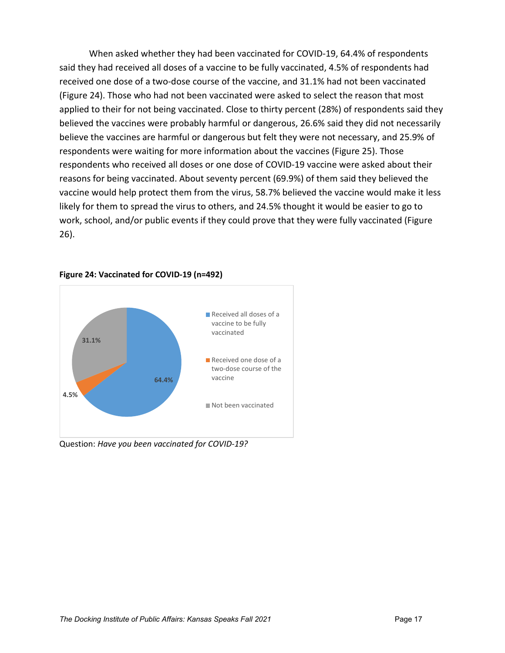When asked whether they had been vaccinated for COVID-19, 64.4% of respondents said they had received all doses of a vaccine to be fully vaccinated, 4.5% of respondents had received one dose of a two-dose course of the vaccine, and 31.1% had not been vaccinated (Figure 24). Those who had not been vaccinated were asked to select the reason that most applied to their for not being vaccinated. Close to thirty percent (28%) of respondents said they believed the vaccines were probably harmful or dangerous, 26.6% said they did not necessarily believe the vaccines are harmful or dangerous but felt they were not necessary, and 25.9% of respondents were waiting for more information about the vaccines (Figure 25). Those respondents who received all doses or one dose of COVID-19 vaccine were asked about their reasons for being vaccinated. About seventy percent (69.9%) of them said they believed the vaccine would help protect them from the virus, 58.7% believed the vaccine would make it less likely for them to spread the virus to others, and 24.5% thought it would be easier to go to work, school, and/or public events if they could prove that they were fully vaccinated (Figure 26).



#### <span id="page-22-0"></span>**Figure 24: Vaccinated for COVID-19 (n=492)**

Question: *Have you been vaccinated for COVID-19?*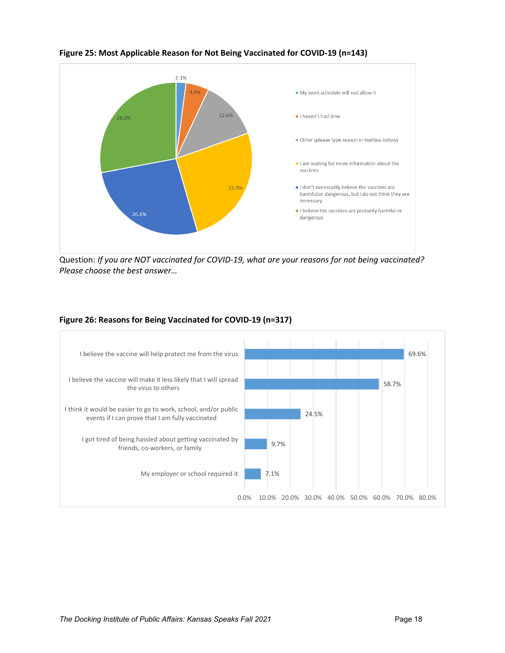

<span id="page-23-0"></span>**Figure 25: Most Applicable Reason for Not Being Vaccinated for COVID-19 (n=143)** 

Question: *If you are NOT vaccinated for COVID-19, what are your reasons for not being vaccinated? Please choose the best answer…*

#### <span id="page-23-1"></span>**Figure 26: Reasons for Being Vaccinated for COVID-19 (n=317)**

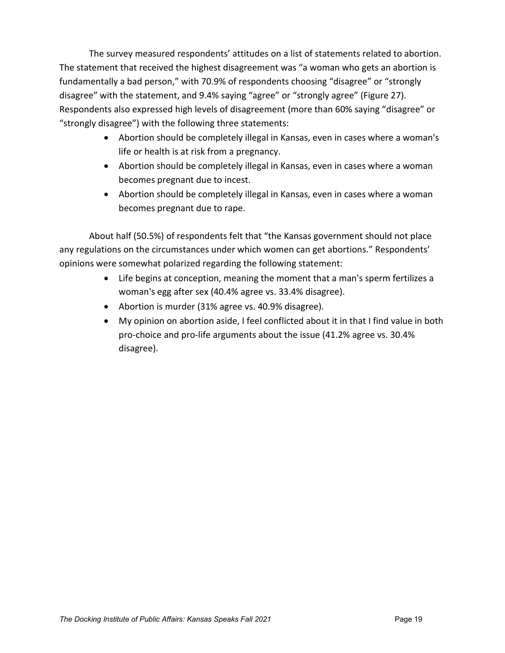The survey measured respondents' attitudes on a list of statements related to abortion. The statement that received the highest disagreement was "a woman who gets an abortion is fundamentally a bad person," with 70.9% of respondents choosing "disagree" or "strongly disagree" with the statement, and 9.4% saying "agree" or "strongly agree" (Figure 27). Respondents also expressed high levels of disagreement (more than 60% saying "disagree" or "strongly disagree") with the following three statements:

- Abortion should be completely illegal in Kansas, even in cases where a woman's life or health is at risk from a pregnancy.
- Abortion should be completely illegal in Kansas, even in cases where a woman becomes pregnant due to incest.
- Abortion should be completely illegal in Kansas, even in cases where a woman becomes pregnant due to rape.

About half (50.5%) of respondents felt that "the Kansas government should not place any regulations on the circumstances under which women can get abortions." Respondents' opinions were somewhat polarized regarding the following statement:

- Life begins at conception, meaning the moment that a man's sperm fertilizes a woman's egg after sex (40.4% agree vs. 33.4% disagree).
- Abortion is murder (31% agree vs. 40.9% disagree).
- My opinion on abortion aside, I feel conflicted about it in that I find value in both pro-choice and pro-life arguments about the issue (41.2% agree vs. 30.4% disagree).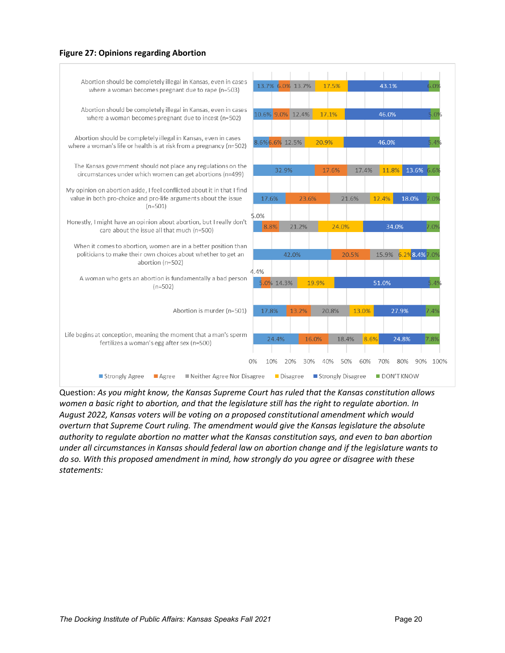#### <span id="page-25-0"></span>**Figure 27: Opinions regarding Abortion**



Question: *As you might know, the Kansas Supreme Court has ruled that the Kansas constitution allows women a basic right to abortion, and that the legislature still has the right to regulate abortion. In August 2022, Kansas voters will be voting on a proposed constitutional amendment which would overturn that Supreme Court ruling. The amendment would give the Kansas legislature the absolute authority to regulate abortion no matter what the Kansas constitution says, and even to ban abortion under all circumstances in Kansas should federal law on abortion change and if the legislature wants to do so. With this proposed amendment in mind, how strongly do you agree or disagree with these statements:*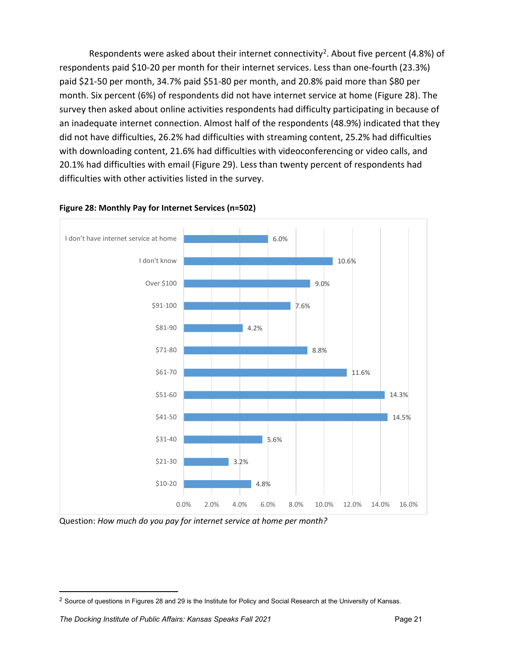Respondents were asked about their internet connectivity<sup>[2](#page-26-1)</sup>. About five percent (4.8%) of respondents paid \$10-20 per month for their internet services. Less than one-fourth (23.3%) paid \$21-50 per month, 34.7% paid \$51-80 per month, and 20.8% paid more than \$80 per month. Six percent (6%) of respondents did not have internet service at home (Figure 28). The survey then asked about online activities respondents had difficulty participating in because of an inadequate internet connection. Almost half of the respondents (48.9%) indicated that they did not have difficulties, 26.2% had difficulties with streaming content, 25.2% had difficulties with downloading content, 21.6% had difficulties with videoconferencing or video calls, and 20.1% had difficulties with email (Figure 29). Less than twenty percent of respondents had difficulties with other activities listed in the survey.



### <span id="page-26-0"></span>**Figure 28: Monthly Pay for Internet Services (n=502)**

Question: *How much do you pay for internet service at home per month?*

<span id="page-26-1"></span> $2$  Source of questions in Figures 28 and 29 is the Institute for Policy and Social Research at the University of Kansas.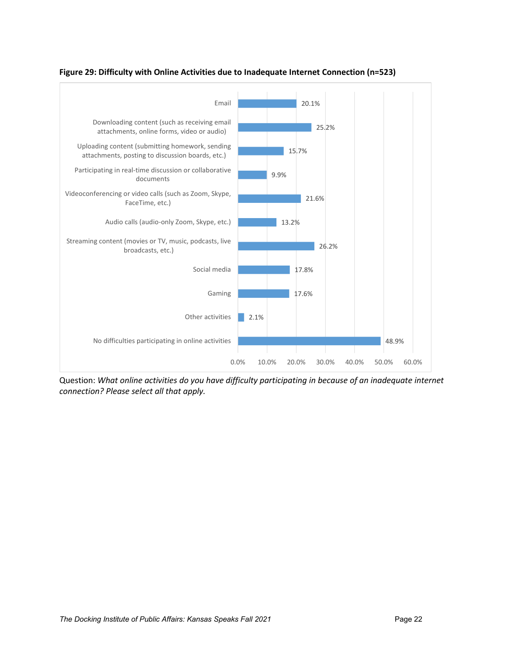

<span id="page-27-0"></span>**Figure 29: Difficulty with Online Activities due to Inadequate Internet Connection (n=523)**

Question: *What online activities do you have difficulty participating in because of an inadequate internet connection? Please select all that apply.*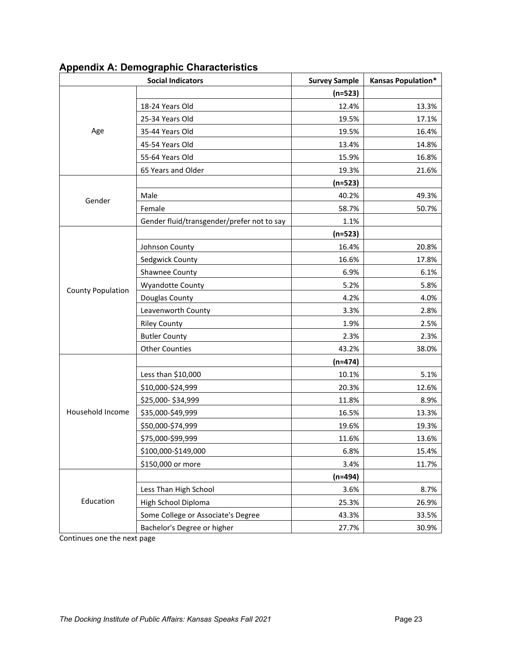|                          | <b>Social Indicators</b>                   | <b>Survey Sample</b> | <b>Kansas Population*</b> |
|--------------------------|--------------------------------------------|----------------------|---------------------------|
|                          |                                            | $(n=523)$            |                           |
|                          | 18-24 Years Old                            | 12.4%                | 13.3%                     |
|                          | 25-34 Years Old                            | 19.5%                | 17.1%                     |
| Age                      | 35-44 Years Old                            | 19.5%                | 16.4%                     |
|                          | 45-54 Years Old                            | 13.4%                | 14.8%                     |
|                          | 55-64 Years Old                            | 15.9%                | 16.8%                     |
|                          | 65 Years and Older                         | 19.3%                | 21.6%                     |
|                          |                                            | $(n=523)$            |                           |
| Gender                   | Male                                       | 40.2%                | 49.3%                     |
|                          | Female                                     | 58.7%                | 50.7%                     |
|                          | Gender fluid/transgender/prefer not to say | 1.1%                 |                           |
|                          |                                            | $(n=523)$            |                           |
|                          | Johnson County                             | 16.4%                | 20.8%                     |
|                          | Sedgwick County                            | 16.6%                | 17.8%                     |
|                          | Shawnee County                             | 6.9%                 | 6.1%                      |
| <b>County Population</b> | <b>Wyandotte County</b>                    | 5.2%                 | 5.8%                      |
|                          | Douglas County                             | 4.2%                 | 4.0%                      |
|                          | Leavenworth County                         | 3.3%                 | 2.8%                      |
|                          | <b>Riley County</b>                        | 1.9%                 | 2.5%                      |
|                          | <b>Butler County</b>                       | 2.3%                 | 2.3%                      |
|                          | <b>Other Counties</b>                      | 43.2%                | 38.0%                     |
|                          |                                            | $(n=474)$            |                           |
|                          | Less than \$10,000                         | 10.1%                | 5.1%                      |
|                          | \$10,000-\$24,999                          | 20.3%                | 12.6%                     |
|                          | \$25,000-\$34,999                          | 11.8%                | 8.9%                      |
| Household Income         | \$35,000-\$49,999                          | 16.5%                | 13.3%                     |
|                          | \$50,000-\$74,999                          | 19.6%                | 19.3%                     |
|                          | \$75,000-\$99,999                          | 11.6%                | 13.6%                     |
|                          | \$100,000-\$149,000                        | 6.8%                 | 15.4%                     |
|                          | \$150,000 or more                          | 3.4%                 | 11.7%                     |
|                          |                                            | $(n=494)$            |                           |
|                          | Less Than High School                      | 3.6%                 | 8.7%                      |
| Education                | High School Diploma                        | 25.3%                | 26.9%                     |
|                          | Some College or Associate's Degree         | 43.3%                | 33.5%                     |
|                          | Bachelor's Degree or higher                | 27.7%                | 30.9%                     |

# <span id="page-28-0"></span>**Appendix A: Demographic Characteristics**

Continues one the next page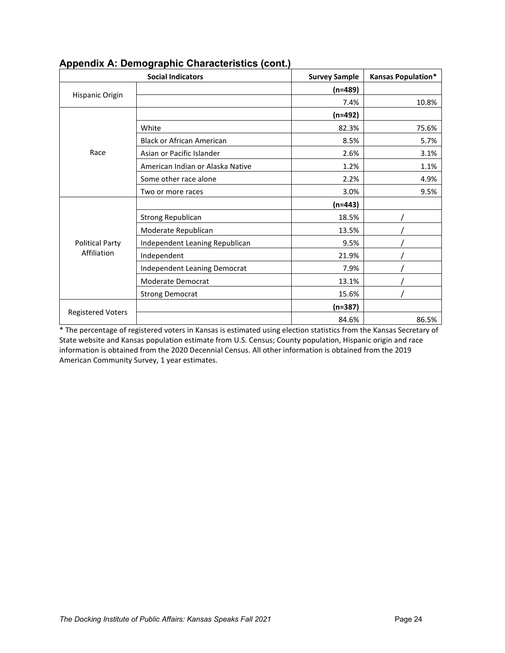|                          | <b>Social Indicators</b>            | <b>Survey Sample</b> | <b>Kansas Population*</b> |
|--------------------------|-------------------------------------|----------------------|---------------------------|
|                          |                                     | $(n=489)$            |                           |
| Hispanic Origin          |                                     | 7.4%                 | 10.8%                     |
|                          |                                     | $(n=492)$            |                           |
|                          | White                               | 82.3%                | 75.6%                     |
|                          | <b>Black or African American</b>    | 8.5%                 | 5.7%                      |
| Race                     | Asian or Pacific Islander           | 2.6%                 | 3.1%                      |
|                          | American Indian or Alaska Native    | 1.2%                 | 1.1%                      |
|                          | Some other race alone               | 2.2%                 | 4.9%                      |
|                          | Two or more races                   | 3.0%                 | 9.5%                      |
|                          |                                     | $(n=443)$            |                           |
|                          | <b>Strong Republican</b>            | 18.5%                |                           |
|                          | Moderate Republican                 | 13.5%                |                           |
| <b>Political Party</b>   | Independent Leaning Republican      | 9.5%                 |                           |
| Affiliation              | Independent                         | 21.9%                |                           |
|                          | <b>Independent Leaning Democrat</b> | 7.9%                 |                           |
|                          | Moderate Democrat                   | 13.1%                |                           |
|                          | <b>Strong Democrat</b>              | 15.6%                |                           |
| <b>Registered Voters</b> |                                     | $(n=387)$            |                           |
|                          |                                     | 84.6%                | 86.5%                     |

# <span id="page-29-0"></span>**Appendix A: Demographic Characteristics (cont.)**

\* The percentage of registered voters in Kansas is estimated using election statistics from the Kansas Secretary of State website and Kansas population estimate from U.S. Census; County population, Hispanic origin and race information is obtained from the 2020 Decennial Census. All other information is obtained from the 2019 American Community Survey, 1 year estimates.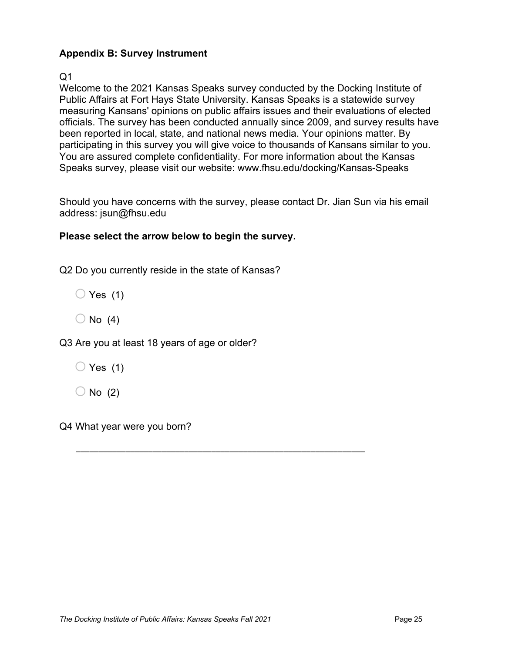# <span id="page-30-0"></span>**Appendix B: Survey Instrument**

Q1

Welcome to the 2021 Kansas Speaks survey conducted by the Docking Institute of Public Affairs at Fort Hays State University. Kansas Speaks is a statewide survey measuring Kansans' opinions on public affairs issues and their evaluations of elected officials. The survey has been conducted annually since 2009, and survey results have been reported in local, state, and national news media. Your opinions matter. By participating in this survey you will give voice to thousands of Kansans similar to you. You are assured complete confidentiality. For more information about the Kansas Speaks survey, please visit our website: www.fhsu.edu/docking/Kansas-Speaks

Should you have concerns with the survey, please contact Dr. Jian Sun via his email address: jsun@fhsu.edu

\_\_\_\_\_\_\_\_\_\_\_\_\_\_\_\_\_\_\_\_\_\_\_\_\_\_\_\_\_\_\_\_\_\_\_\_\_\_\_\_\_\_\_\_\_\_\_\_\_\_\_\_\_\_\_\_\_\_\_\_\_\_\_\_

# **Please select the arrow below to begin the survey.**

Q2 Do you currently reside in the state of Kansas?

 $\bigcirc$  Yes (1)

 $\bigcirc$  No (4)

Q3 Are you at least 18 years of age or older?

 $\bigcirc$  Yes (1)

 $\bigcirc$  No (2)

Q4 What year were you born?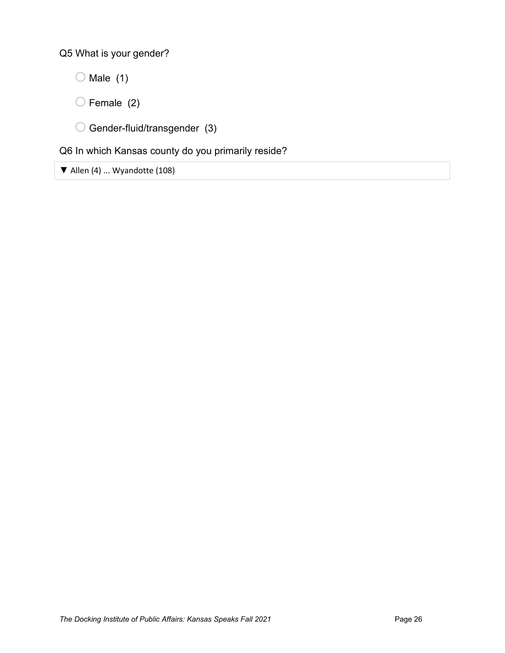Q5 What is your gender?

- $\bigcirc$  Male (1)
- $\bigcirc$  Female (2)
- $\bigcirc$  Gender-fluid/transgender (3)

# Q6 In which Kansas county do you primarily reside?

▼ Allen (4) ... Wyandotte (108)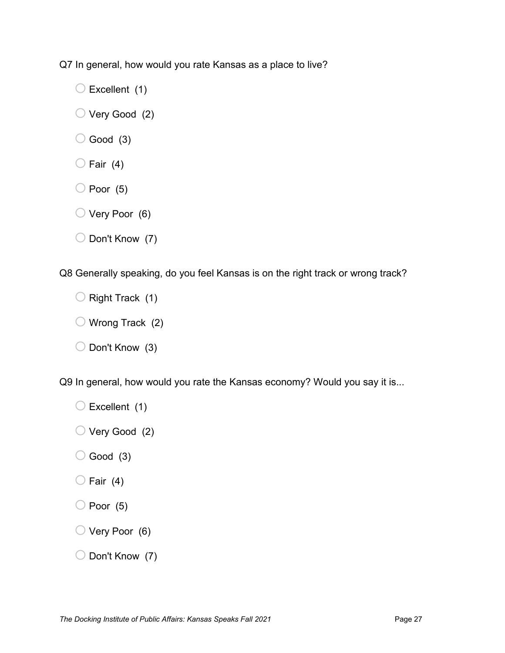Q7 In general, how would you rate Kansas as a place to live?

- $\bigcirc$  Excellent (1)
- $\bigcirc$  Very Good (2)
- $\bigcirc$  Good (3)
- $\bigcirc$  Fair (4)
- $\bigcirc$  Poor (5)
- $\bigcirc$  Very Poor (6)
- $\bigcirc$  Don't Know (7)

Q8 Generally speaking, do you feel Kansas is on the right track or wrong track?

- $\bigcirc$  Right Track (1)
- $\bigcirc$  Wrong Track (2)
- $\bigcirc$  Don't Know (3)

Q9 In general, how would you rate the Kansas economy? Would you say it is...

- $\bigcirc$  Excellent (1)
- $\bigcirc$  Very Good (2)
- $\bigcirc$  Good (3)
- $\bigcirc$  Fair (4)
- $\bigcirc$  Poor (5)
- $\bigcirc$  Very Poor (6)
- $\bigcirc$  Don't Know (7)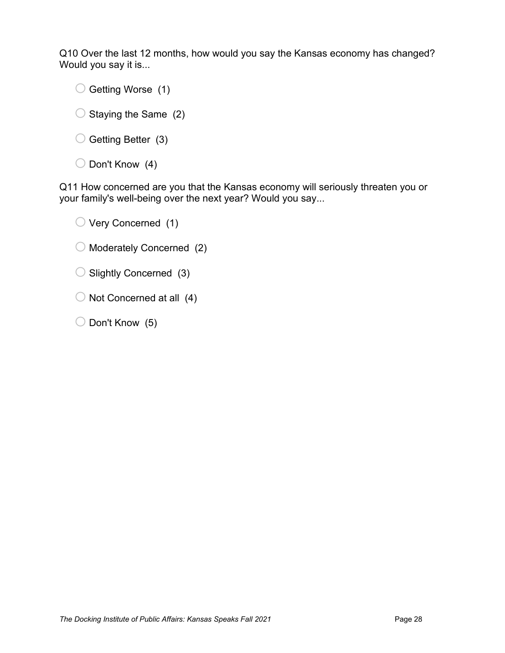Q10 Over the last 12 months, how would you say the Kansas economy has changed? Would you say it is...

 $\bigcirc$  Getting Worse (1)

- $\bigcirc$  Staying the Same (2)
- $\bigcirc$  Getting Better (3)
- $\bigcirc$  Don't Know (4)

Q11 How concerned are you that the Kansas economy will seriously threaten you or your family's well-being over the next year? Would you say...

- $\bigcirc$  Very Concerned (1)
- $\bigcirc$  Moderately Concerned (2)
- $\bigcirc$  Slightly Concerned (3)
- $\bigcirc$  Not Concerned at all (4)
- $\bigcirc$  Don't Know (5)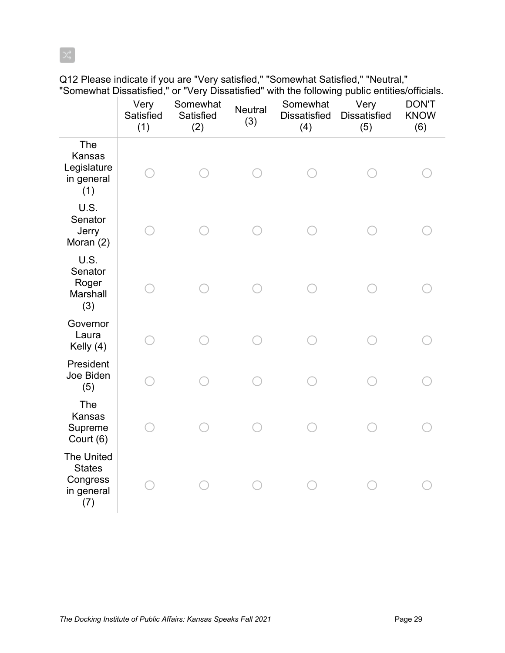Very **Satisfied** (1) Somewhat **Satisfied** (2) **Neutral** (3) Somewhat Dissatisfied (4) Very **Dissatisfied** (5) DON'T KNOW (6) The Kansas Legislature in general (1) o o o o o o U.S. **Senator Jerry** Moran (2) o o o o o o U.S. **Senator** Roger Marshall (3) o o o o o o **Governor** Laura Kelly (4) o o o o o o President Joe Biden (5) o o o o o o The Kansas Supreme Court (6) o o o o o o The United **States Congress** in general (7) o o o o o o

Q12 Please indicate if you are "Very satisfied," "Somewhat Satisfied," "Neutral," "Somewhat Dissatisfied," or "Very Dissatisfied" with the following public entities/officials.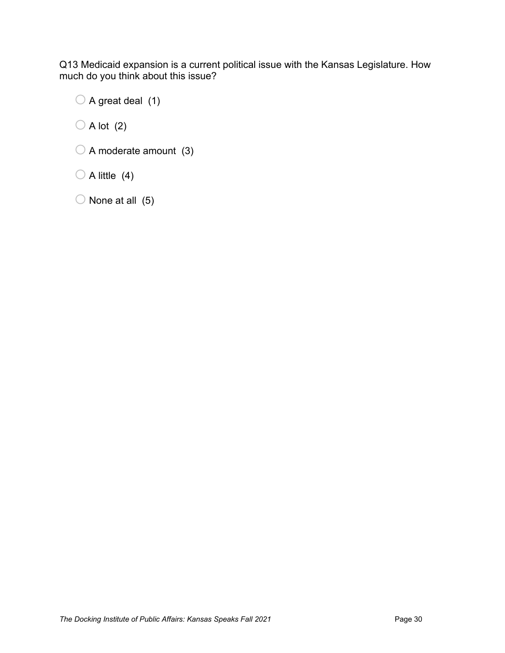Q13 Medicaid expansion is a current political issue with the Kansas Legislature. How much do you think about this issue?

 $\bigcirc$  A great deal (1)

 $\bigcirc$  A lot (2)

 $\bigcirc$  A moderate amount (3)

 $\bigcirc$  A little (4)

 $\bigcirc$  None at all (5)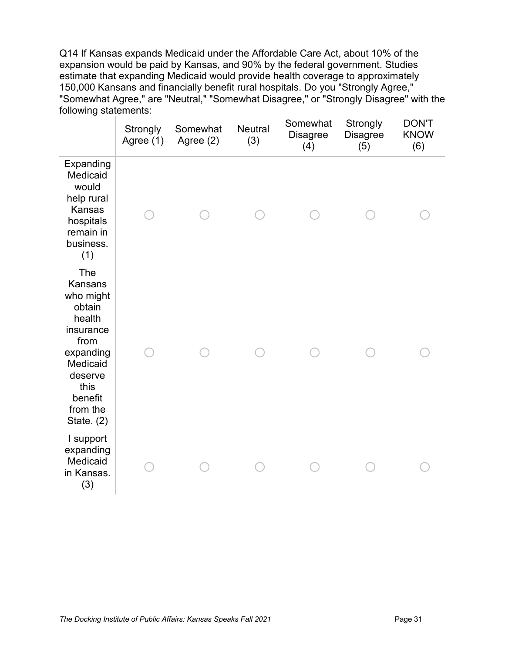Q14 If Kansas expands Medicaid under the Affordable Care Act, about 10% of the expansion would be paid by Kansas, and 90% by the federal government. Studies estimate that expanding Medicaid would provide health coverage to approximately 150,000 Kansans and financially benefit rural hospitals. Do you "Strongly Agree," "Somewhat Agree," are "Neutral," "Somewhat Disagree," or "Strongly Disagree" with the following statements:

|                                                                                                                                                         | <b>Strongly</b><br>Agree (1) | Somewhat<br>Agree (2) | <b>Neutral</b><br>(3) | Somewhat<br><b>Disagree</b><br>(4) | Strongly<br><b>Disagree</b><br>(5) | <b>DON'T</b><br><b>KNOW</b><br>(6) |
|---------------------------------------------------------------------------------------------------------------------------------------------------------|------------------------------|-----------------------|-----------------------|------------------------------------|------------------------------------|------------------------------------|
| Expanding<br>Medicaid<br>would<br>help rural<br>Kansas<br>hospitals<br>remain in<br>business.<br>(1)                                                    |                              |                       |                       |                                    |                                    |                                    |
| The<br>Kansans<br>who might<br>obtain<br>health<br>insurance<br>from<br>expanding<br>Medicaid<br>deserve<br>this<br>benefit<br>from the<br>State. $(2)$ |                              |                       |                       |                                    |                                    |                                    |
| I support<br>expanding<br>Medicaid<br>in Kansas.<br>(3)                                                                                                 |                              |                       |                       |                                    |                                    |                                    |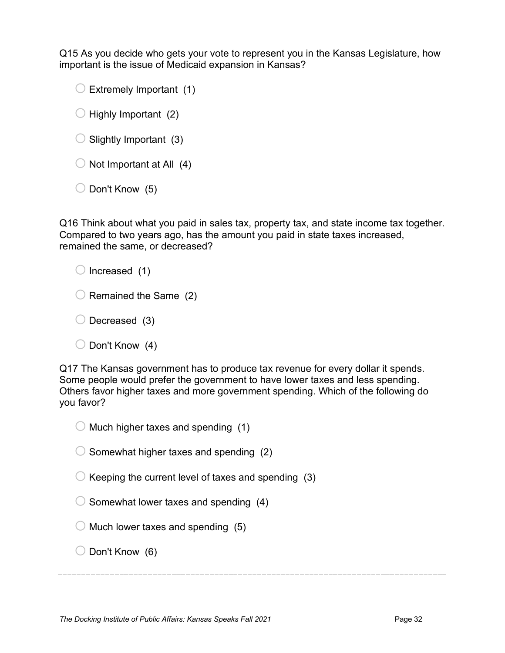Q15 As you decide who gets your vote to represent you in the Kansas Legislature, how important is the issue of Medicaid expansion in Kansas?

 $\bigcirc$  Extremely Important (1)

- $\bigcirc$  Highly Important (2)
- $\bigcirc$  Slightly Important (3)
- $\bigcirc$  Not Important at All (4)
- $\bigcirc$  Don't Know (5)

Q16 Think about what you paid in sales tax, property tax, and state income tax together. Compared to two years ago, has the amount you paid in state taxes increased, remained the same, or decreased?

 $\bigcirc$  Increased (1)

- $\bigcirc$  Remained the Same (2)
- $\bigcirc$  Decreased (3)
- $\bigcirc$  Don't Know (4)

Q17 The Kansas government has to produce tax revenue for every dollar it spends. Some people would prefer the government to have lower taxes and less spending. Others favor higher taxes and more government spending. Which of the following do you favor?

- $\bigcirc$  Much higher taxes and spending (1)
- $\bigcirc$  Somewhat higher taxes and spending (2)
- $\bigcirc$  Keeping the current level of taxes and spending (3)
- $\bigcirc$  Somewhat lower taxes and spending (4)
- $\bigcirc$  Much lower taxes and spending (5)
- $\bigcirc$  Don't Know (6)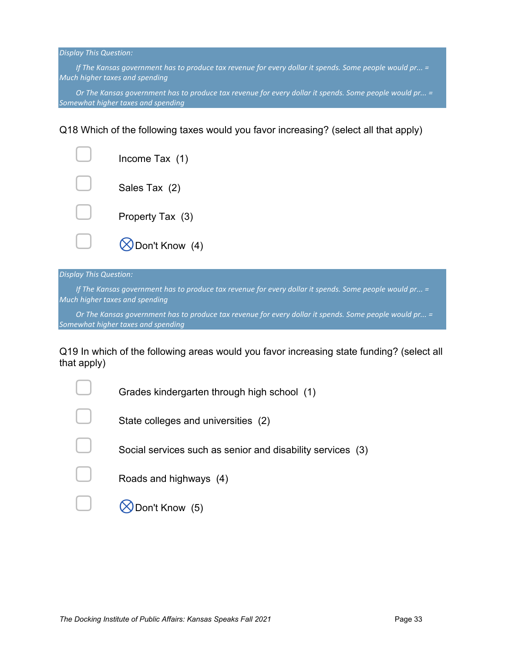*If The Kansas government has to produce tax revenue for every dollar it spends. Some people would pr...* = *Much higher taxes and spending*

*Or The Kansas government has to produce tax revenue for every dollar it spends. Some people would pr... = Somewhat higher taxes and spending*

Q18 Which of the following taxes would you favor increasing? (select all that apply)

| Income Tax (1)          |
|-------------------------|
| Sales Tax (2)           |
| Property Tax (3)        |
| <b>S</b> Don't Know (4) |

#### *Display This Question:*

*If The Kansas government has to produce tax revenue for every dollar it spends. Some people would pr...* = *Much higher taxes and spending*

*Or The Kansas government has to produce tax revenue for every dollar it spends. Some people would pr... = Somewhat higher taxes and spending*

Q19 In which of the following areas would you favor increasing state funding? (select all that apply)

| Grades kindergarten through high school (1)                |
|------------------------------------------------------------|
| State colleges and universities (2)                        |
| Social services such as senior and disability services (3) |
| Roads and highways (4)                                     |
| on't Know (5)                                              |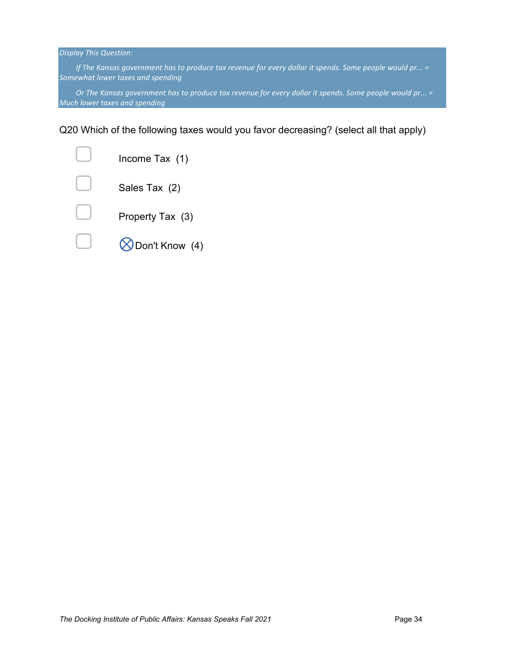*If The Kansas government has to produce tax revenue for every dollar it spends. Some people would pr...* = *Somewhat lower taxes and spending*

*Or The Kansas government has to produce tax revenue for every dollar it spends. Some people would pr... = Much lower taxes and spending*

Q20 Which of the following taxes would you favor decreasing? (select all that apply)

| Income Tax (1)              |
|-----------------------------|
| Sales Tax (2)               |
| Property Tax (3)            |
| $\bigotimes$ Don't Know (4) |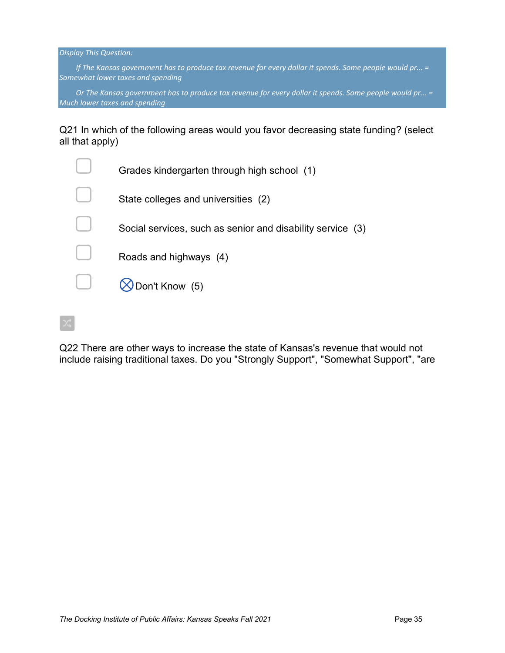*If The Kansas government has to produce tax revenue for every dollar it spends. Some people would pr...* = *Somewhat lower taxes and spending*

*Or The Kansas government has to produce tax revenue for every dollar it spends. Some people would pr... = Much lower taxes and spending*

Q21 In which of the following areas would you favor decreasing state funding? (select all that apply)

| Grades kindergarten through high school (1)                |
|------------------------------------------------------------|
| State colleges and universities (2)                        |
| Social services, such as senior and disability service (3) |
| Roads and highways (4)                                     |
| Don't Know (5)                                             |
|                                                            |

Q22 There are other ways to increase the state of Kansas's revenue that would not include raising traditional taxes. Do you "Strongly Support", "Somewhat Support", "are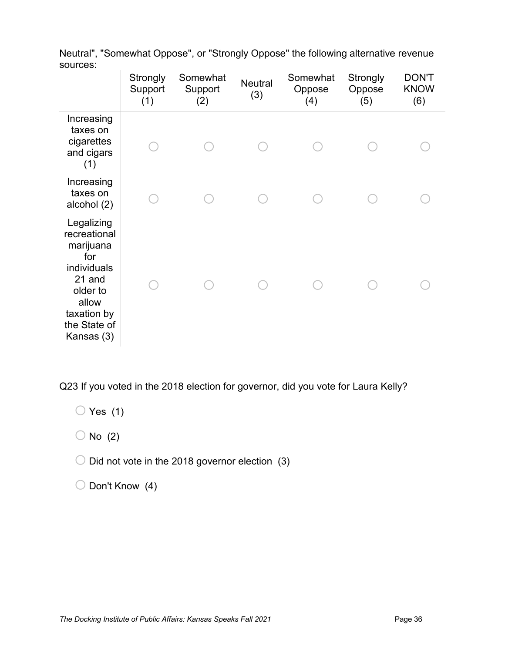|                                                                                                                                           | Strongly<br>Support<br>(1) | Somewhat<br>Support<br>(2) | <b>Neutral</b><br>(3) | Somewhat<br>Oppose<br>(4) | Strongly<br>Oppose<br>(5) | <b>DON'T</b><br><b>KNOW</b><br>(6) |
|-------------------------------------------------------------------------------------------------------------------------------------------|----------------------------|----------------------------|-----------------------|---------------------------|---------------------------|------------------------------------|
| Increasing<br>taxes on<br>cigarettes<br>and cigars<br>(1)                                                                                 |                            |                            |                       |                           |                           |                                    |
| Increasing<br>taxes on<br>alcohol (2)                                                                                                     |                            |                            |                       |                           |                           |                                    |
| Legalizing<br>recreational<br>marijuana<br>for<br>individuals<br>21 and<br>older to<br>allow<br>taxation by<br>the State of<br>Kansas (3) |                            |                            |                       |                           |                           |                                    |

Neutral", "Somewhat Oppose", or "Strongly Oppose" the following alternative revenue sources:

Q23 If you voted in the 2018 election for governor, did you vote for Laura Kelly?

 $\bigcirc$  Yes (1)

 $\bigcirc$  No (2)

 $\bigcirc$  Did not vote in the 2018 governor election (3)

 $\bigcirc$  Don't Know (4)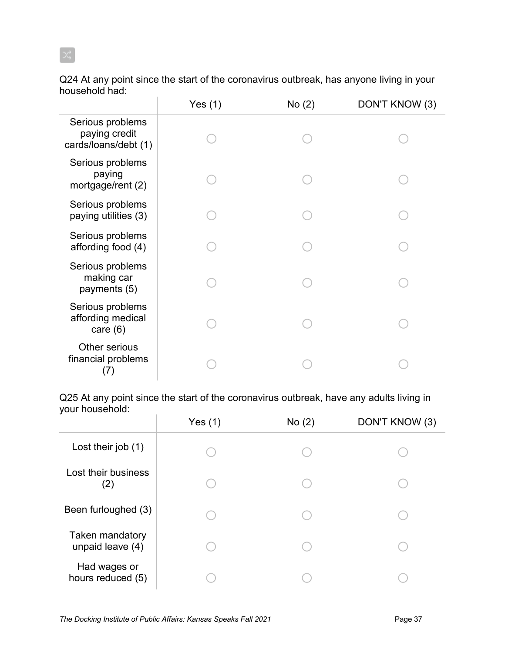Q24 At any point since the start of the coronavirus outbreak, has anyone living in your household had:

|                                                           | Yes (1) | No(2) | DON'T KNOW (3) |
|-----------------------------------------------------------|---------|-------|----------------|
| Serious problems<br>paying credit<br>cards/loans/debt (1) |         |       |                |
| Serious problems<br>paying<br>mortgage/rent (2)           |         |       |                |
| Serious problems<br>paying utilities (3)                  |         |       |                |
| Serious problems<br>affording food (4)                    |         |       |                |
| Serious problems<br>making car<br>payments (5)            |         |       |                |
| Serious problems<br>affording medical<br>care $(6)$       |         |       |                |
| Other serious<br>financial problems<br>(7)                |         |       |                |

Q25 At any point since the start of the coronavirus outbreak, have any adults living in your household:

|                                     | Yes $(1)$ | No(2) | DON'T KNOW (3) |
|-------------------------------------|-----------|-------|----------------|
| Lost their job (1)                  |           |       |                |
| Lost their business<br>(2)          |           |       |                |
| Been furloughed (3)                 |           |       |                |
| Taken mandatory<br>unpaid leave (4) |           |       |                |
| Had wages or<br>hours reduced (5)   |           |       |                |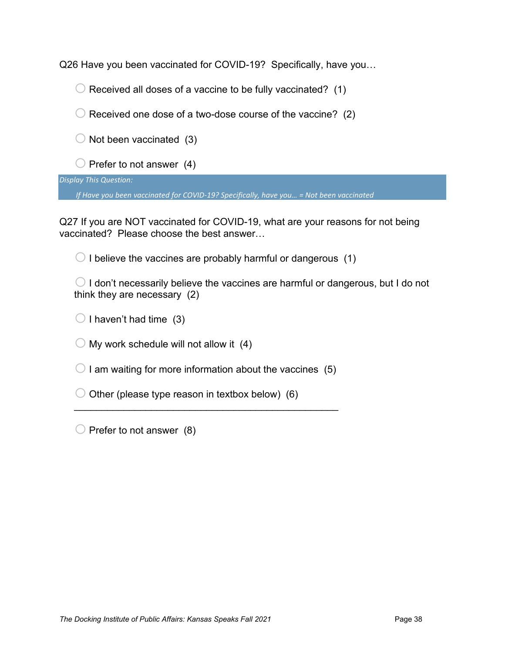Q26 Have you been vaccinated for COVID-19? Specifically, have you…

 $\bigcirc$  Received all doses of a vaccine to be fully vaccinated? (1)

 $\bigcirc$  Received one dose of a two-dose course of the vaccine? (2)

 $\bigcirc$  Not been vaccinated (3)

 $\bigcirc$  Prefer to not answer (4)

*Display This Question:*

*If Have you been vaccinated for COVID-19? Specifically, have you… = Not been vaccinated*

Q27 If you are NOT vaccinated for COVID-19, what are your reasons for not being vaccinated? Please choose the best answer…

 $\bigcirc$  I believe the vaccines are probably harmful or dangerous (1)

 $\bigcirc$  I don't necessarily believe the vaccines are harmful or dangerous, but I do not think they are necessary (2)

 $\bigcirc$  I haven't had time (3)

 $\bigcirc$  My work schedule will not allow it (4)

 $\bigcirc$  I am waiting for more information about the vaccines (5)

\_\_\_\_\_\_\_\_\_\_\_\_\_\_\_\_\_\_\_\_\_\_\_\_\_\_\_\_\_\_\_\_\_\_\_\_\_\_\_\_\_\_\_\_\_\_\_\_

 $\bigcirc$  Other (please type reason in textbox below) (6)

 $\bigcirc$  Prefer to not answer (8)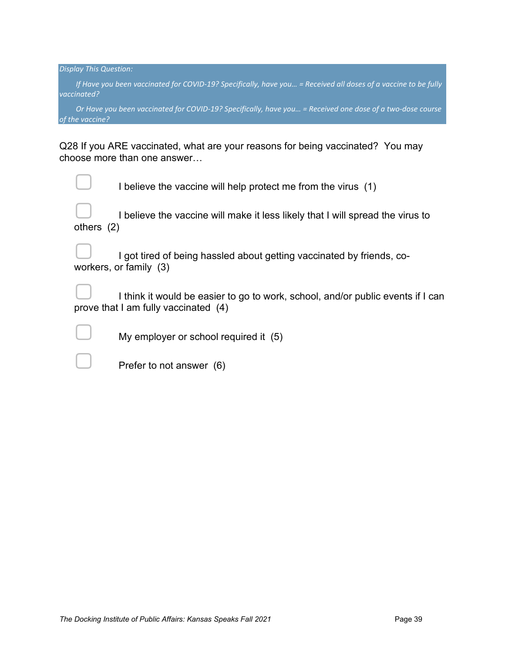*If Have you been vaccinated for COVID-19? Specifically, have you… = Received all doses of a vaccine to be fully vaccinated?*

*Or Have you been vaccinated for COVID-19? Specifically, have you… = Received one dose of a two-dose course of the vaccine?*

Q28 If you ARE vaccinated, what are your reasons for being vaccinated? You may choose more than one answer…

|              | I believe the vaccine will help protect me from the virus (1)                                   |
|--------------|-------------------------------------------------------------------------------------------------|
| others $(2)$ | I believe the vaccine will make it less likely that I will spread the virus to                  |
| $\Box$       | I got tired of being hassled about getting vaccinated by friends, co-<br>workers, or family (3) |
|              | I think it would be easier to go to work, school, and/or public events if I can                 |

▢ I think it would be easier to go to work, school, and/or public events if I can prove that I am fully vaccinated (4)

My employer or school required it (5)

Prefer to not answer (6)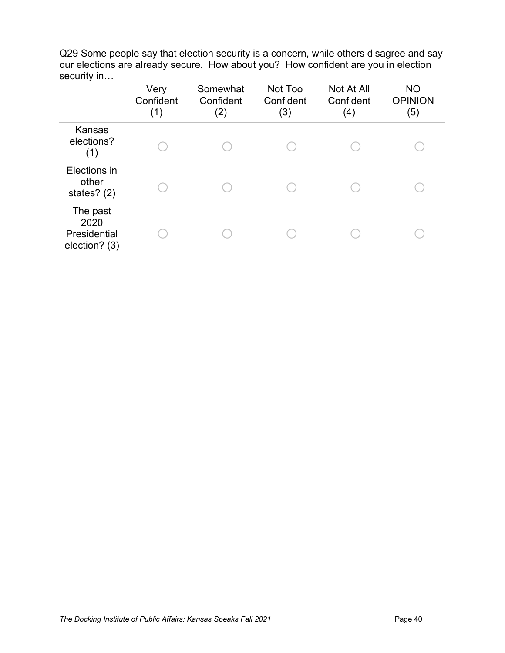Q29 Some people say that election security is a concern, while others disagree and say our elections are already secure. How about you? How confident are you in election security in…

|                                                   | Very<br>Confident<br>(1) | Somewhat<br>Confident<br>(2) | Not Too<br>Confident<br>(3) | Not At All<br>Confident<br>(4) | <b>NO</b><br><b>OPINION</b><br>(5) |
|---------------------------------------------------|--------------------------|------------------------------|-----------------------------|--------------------------------|------------------------------------|
| <b>Kansas</b><br>elections?<br>(1)                |                          |                              |                             |                                |                                    |
| Elections in<br>other<br>states? $(2)$            |                          |                              |                             |                                |                                    |
| The past<br>2020<br>Presidential<br>election? (3) |                          |                              |                             |                                |                                    |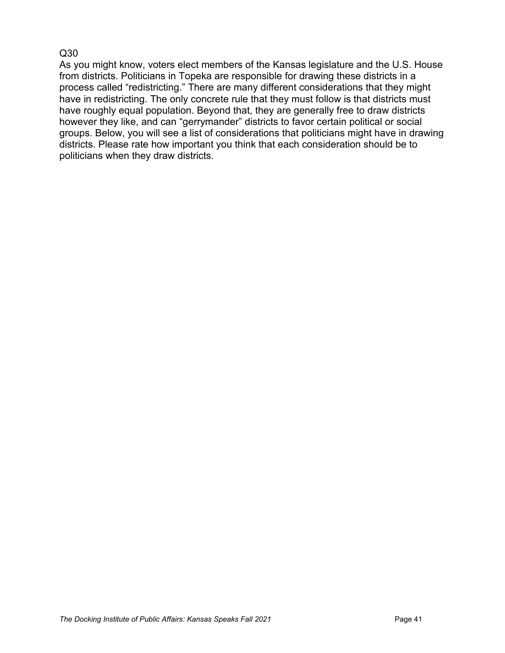# Q30

As you might know, voters elect members of the Kansas legislature and the U.S. House from districts. Politicians in Topeka are responsible for drawing these districts in a process called "redistricting." There are many different considerations that they might have in redistricting. The only concrete rule that they must follow is that districts must have roughly equal population. Beyond that, they are generally free to draw districts however they like, and can "gerrymander" districts to favor certain political or social groups. Below, you will see a list of considerations that politicians might have in drawing districts. Please rate how important you think that each consideration should be to politicians when they draw districts.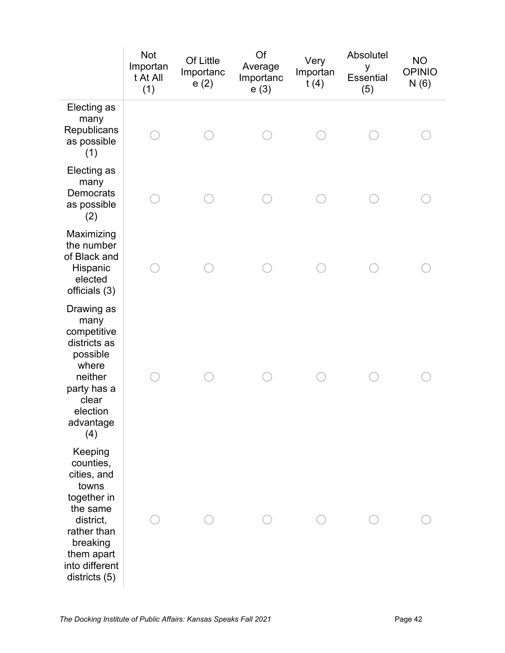|                                                                                                                                                                  | <b>Not</b><br>Importan<br>t At All<br>(1) | Of Little<br>Importanc<br>e(2) | Of<br>Average<br>Importanc<br>e(3) | Very<br>Importan<br>t(4) | Absolutel<br>y<br><b>Essential</b><br>(5) | <b>NO</b><br><b>OPINIO</b><br>N(6) |
|------------------------------------------------------------------------------------------------------------------------------------------------------------------|-------------------------------------------|--------------------------------|------------------------------------|--------------------------|-------------------------------------------|------------------------------------|
| Electing as<br>many<br>Republicans<br>as possible<br>(1)                                                                                                         |                                           |                                |                                    |                          |                                           |                                    |
| Electing as<br>many<br>Democrats<br>as possible<br>(2)                                                                                                           |                                           |                                |                                    |                          |                                           |                                    |
| Maximizing<br>the number<br>of Black and<br>Hispanic<br>elected<br>officials (3)                                                                                 |                                           |                                |                                    |                          |                                           |                                    |
| Drawing as<br>many<br>competitive<br>districts as<br>possible<br>where<br>neither<br>party has a<br>clear<br>election<br>advantage<br>(4)                        |                                           |                                |                                    |                          |                                           |                                    |
| Keeping<br>counties,<br>cities, and<br>towns<br>together in<br>the same<br>district,<br>rather than<br>breaking<br>them apart<br>into different<br>districts (5) |                                           |                                |                                    |                          |                                           |                                    |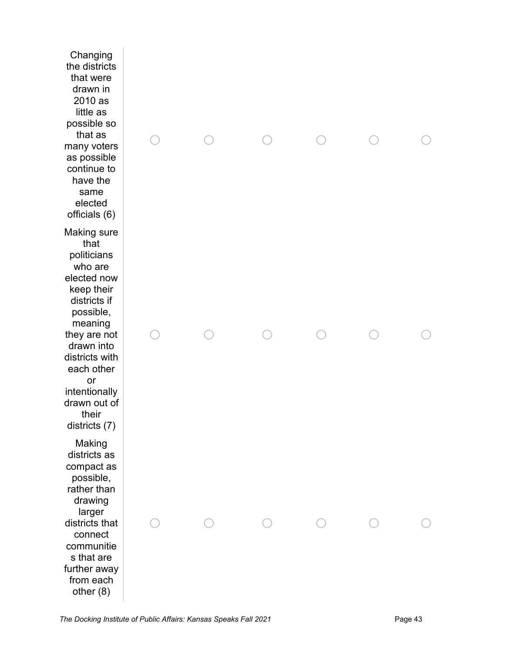Changing the districts that were drawn in 2010 as little as possible so that as many voters as possible continue to have the same elected officials (6) Making sure that politicians who are elected now keep their districts if possible, meaning they are not drawn into districts with each other or intentionally drawn out of their districts (7) Making districts as compact as possible, rather than drawing larger districts that connect communitie s that are further away from each other (8)

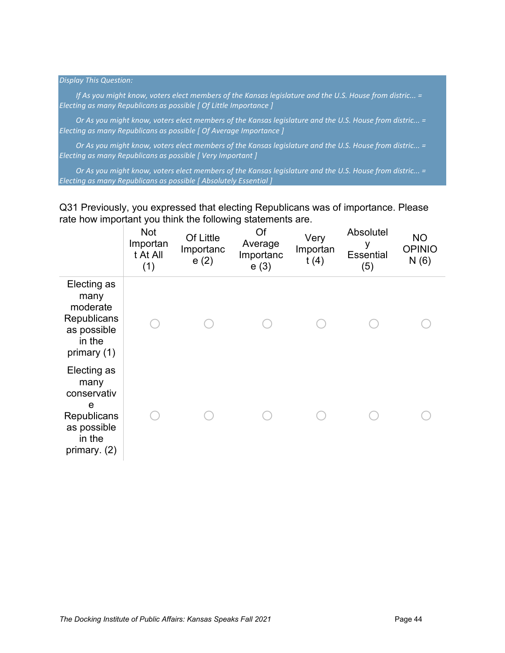*If As you might know, voters elect members of the Kansas legislature and the U.S. House from distric...* = *Electing as many Republicans as possible [ Of Little Importance ]*

*Or As you might know, voters elect members of the Kansas legislature and the U.S. House from distric... = Electing as many Republicans as possible [ Of Average Importance ]*

*Or As you might know, voters elect members of the Kansas legislature and the U.S. House from distric... = Electing as many Republicans as possible [ Very Important ]*

*Or As you might know, voters elect members of the Kansas legislature and the U.S. House from distric... = Electing as many Republicans as possible [ Absolutely Essential ]*

Q31 Previously, you expressed that electing Republicans was of importance. Please rate how important you think the following statements are.

|                                                                                                 | <b>Not</b><br>Importan<br>t At All<br>(1) | Of Little<br>Importanc<br>e(2) | Of<br>Average<br>Importanc<br>e(3) | Very<br>Importan<br>t(4) | Absolutel<br>у<br><b>Essential</b><br>(5) | <b>NO</b><br><b>OPINIO</b><br>N(6) |
|-------------------------------------------------------------------------------------------------|-------------------------------------------|--------------------------------|------------------------------------|--------------------------|-------------------------------------------|------------------------------------|
| Electing as<br>many<br>moderate<br>Republicans<br>as possible<br>in the<br>primary (1)          |                                           |                                |                                    |                          |                                           |                                    |
| Electing as<br>many<br>conservativ<br>e<br>Republicans<br>as possible<br>in the<br>primary. (2) |                                           |                                |                                    |                          |                                           |                                    |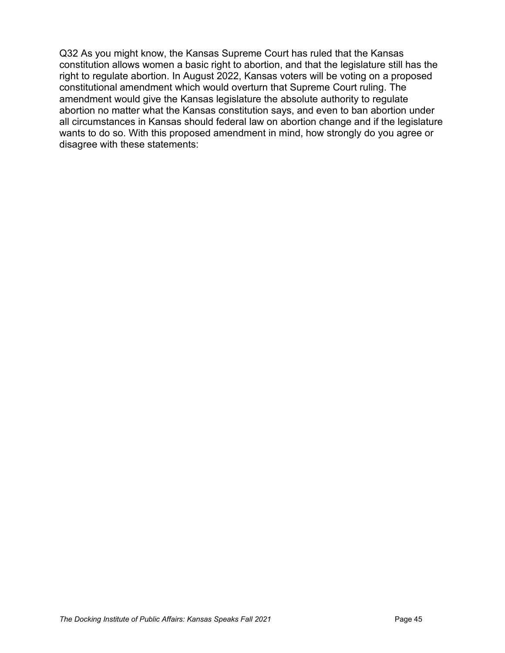Q32 As you might know, the Kansas Supreme Court has ruled that the Kansas constitution allows women a basic right to abortion, and that the legislature still has the right to regulate abortion. In August 2022, Kansas voters will be voting on a proposed constitutional amendment which would overturn that Supreme Court ruling. The amendment would give the Kansas legislature the absolute authority to regulate abortion no matter what the Kansas constitution says, and even to ban abortion under all circumstances in Kansas should federal law on abortion change and if the legislature wants to do so. With this proposed amendment in mind, how strongly do you agree or disagree with these statements: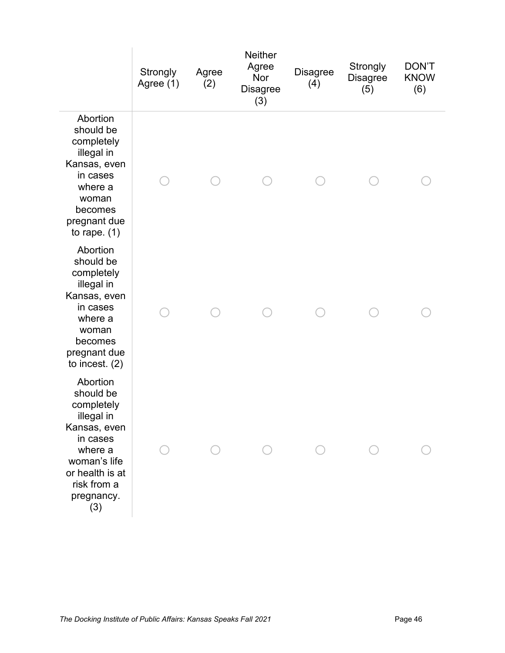|                                                                                                                                                                 | Strongly<br>Agree (1) | Agree<br>(2) | <b>Neither</b><br>Agree<br>Nor<br><b>Disagree</b><br>(3) | <b>Disagree</b><br>(4) | Strongly<br><b>Disagree</b><br>(5) | <b>DON'T</b><br><b>KNOW</b><br>(6) |
|-----------------------------------------------------------------------------------------------------------------------------------------------------------------|-----------------------|--------------|----------------------------------------------------------|------------------------|------------------------------------|------------------------------------|
| Abortion<br>should be<br>completely<br>illegal in<br>Kansas, even<br>in cases<br>where a<br>woman<br>becomes<br>pregnant due<br>to rape. $(1)$                  |                       |              |                                                          |                        |                                    |                                    |
| Abortion<br>should be<br>completely<br>illegal in<br>Kansas, even<br>in cases<br>where a<br>woman<br>becomes<br>pregnant due<br>to incest. $(2)$                |                       |              |                                                          |                        |                                    |                                    |
| Abortion<br>should be<br>completely<br>illegal in<br>Kansas, even<br>in cases<br>where a<br>woman's life<br>or health is at<br>risk from a<br>pregnancy.<br>(3) |                       |              |                                                          |                        |                                    |                                    |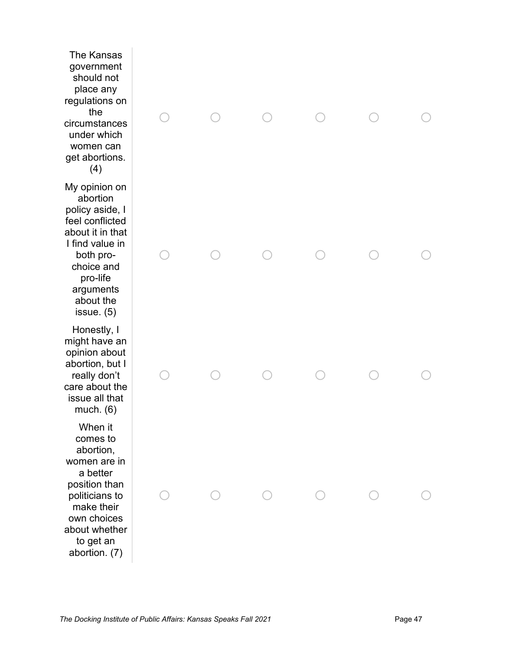The Kansas government should not place any regulations on the circumstances under which women can get abortions. (4) My opinion on abortion policy aside, I feel conflicted about it in that I find value in both prochoice and pro-life arguments about the issue. (5) Honestly, I might have an opinion about abortion, but I really don't care about the issue all that much. (6) When it comes to abortion, women are in a better position than politicians to make their own choices about whether to get an abortion. (7)

|  |  | $\begin{matrix} \circ & \circ & \circ & \circ & \circ \end{matrix}$ |  |
|--|--|---------------------------------------------------------------------|--|
|  |  |                                                                     |  |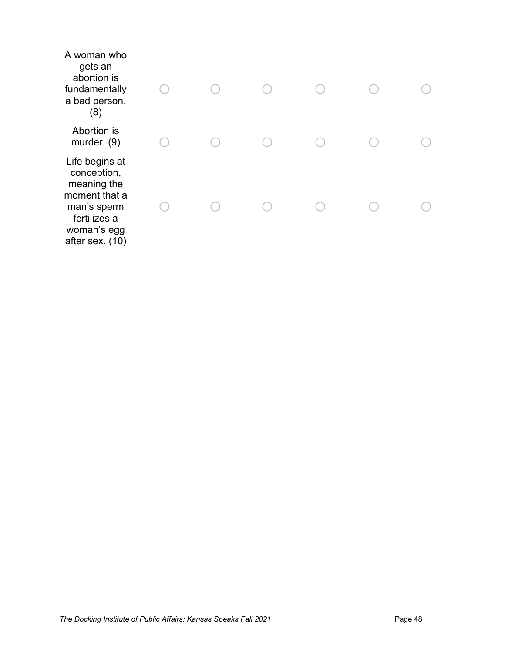| A woman who<br>gets an<br>abortion is<br>fundamentally<br>a bad person.<br>(8)                                                 |  |  |  |
|--------------------------------------------------------------------------------------------------------------------------------|--|--|--|
| Abortion is<br>murder. $(9)$                                                                                                   |  |  |  |
| Life begins at<br>conception,<br>meaning the<br>moment that a<br>man's sperm<br>fertilizes a<br>woman's egg<br>after sex. (10) |  |  |  |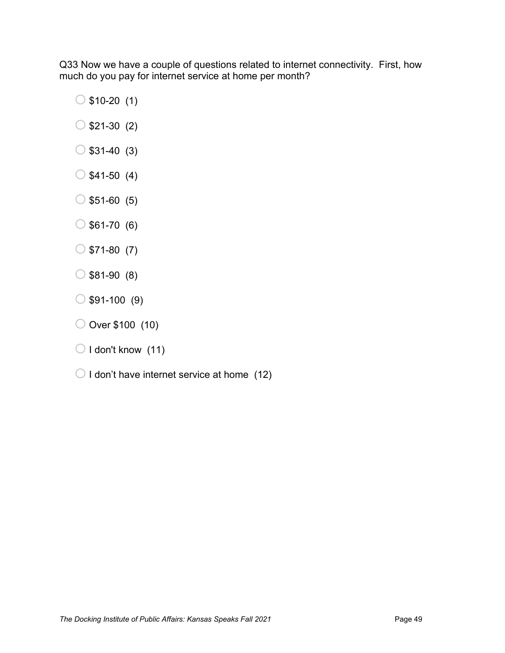Q33 Now we have a couple of questions related to internet connectivity. First, how much do you pay for internet service at home per month?

- $\circ$ \$10-20 (1)
- $\circ$ \$21-30 (2)
- $\circ$ \$31-40 (3)
- $\circ$ \$41-50 (4)
- $\circ$  \$51-60 (5)
- $\circ$ \$61-70 (6)
- $\circ$  \$71-80 (7)
- $\circ$ \$81-90 (8)
- $\circ$ \$91-100 (9)
- $\bigcirc$  Over \$100 (10)
- $\bigcirc$  I don't know (11)
- $\bigcirc$  I don't have internet service at home (12)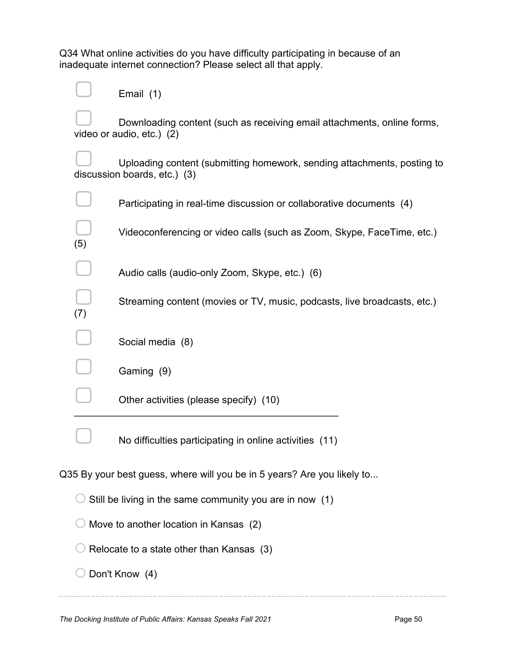Q34 What online activities do you have difficulty participating in because of an inadequate internet connection? Please select all that apply.

|                                        | Email (1)                                                                                               |  |  |  |  |
|----------------------------------------|---------------------------------------------------------------------------------------------------------|--|--|--|--|
|                                        | Downloading content (such as receiving email attachments, online forms,<br>video or audio, etc.) (2)    |  |  |  |  |
|                                        | Uploading content (submitting homework, sending attachments, posting to<br>discussion boards, etc.) (3) |  |  |  |  |
|                                        | Participating in real-time discussion or collaborative documents (4)                                    |  |  |  |  |
| (5)                                    | Videoconferencing or video calls (such as Zoom, Skype, FaceTime, etc.)                                  |  |  |  |  |
|                                        | Audio calls (audio-only Zoom, Skype, etc.) (6)                                                          |  |  |  |  |
| (7)                                    | Streaming content (movies or TV, music, podcasts, live broadcasts, etc.)                                |  |  |  |  |
|                                        | Social media (8)                                                                                        |  |  |  |  |
|                                        | Gaming (9)                                                                                              |  |  |  |  |
|                                        | Other activities (please specify) (10)                                                                  |  |  |  |  |
|                                        | No difficulties participating in online activities (11)                                                 |  |  |  |  |
|                                        | Q35 By your best guess, where will you be in 5 years? Are you likely to                                 |  |  |  |  |
|                                        | Still be living in the same community you are in now (1)                                                |  |  |  |  |
| Move to another location in Kansas (2) |                                                                                                         |  |  |  |  |
|                                        | Relocate to a state other than Kansas (3)                                                               |  |  |  |  |
|                                        | Don't Know (4)                                                                                          |  |  |  |  |
|                                        |                                                                                                         |  |  |  |  |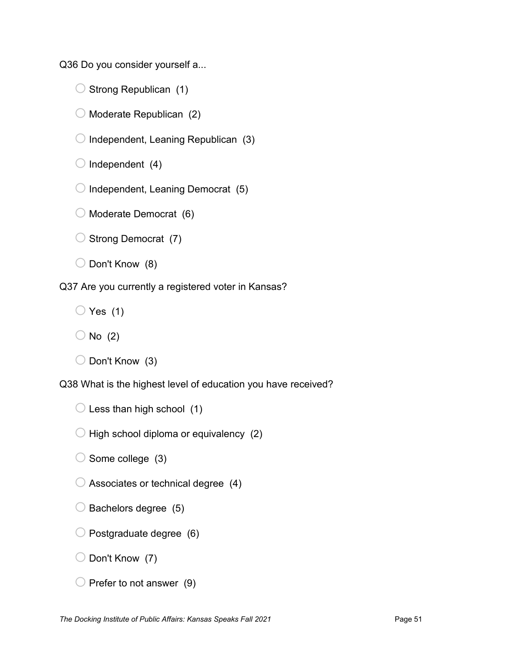Q36 Do you consider yourself a...

 $\bigcirc$  Strong Republican (1)

 $\bigcirc$  Moderate Republican (2)

 $\bigcirc$  Independent, Leaning Republican (3)

 $\bigcirc$  Independent (4)

 $\bigcirc$  Independent, Leaning Democrat (5)

 $\bigcirc$  Moderate Democrat (6)

 $\bigcirc$  Strong Democrat (7)

 $\bigcirc$  Don't Know (8)

Q37 Are you currently a registered voter in Kansas?

 $\bigcirc$  Yes (1)

 $\bigcirc$  Don't Know (3)

Q38 What is the highest level of education you have received?

 $\bigcirc$  Less than high school (1)

 $\bigcirc$  High school diploma or equivalency (2)

 $\bigcirc$  Some college (3)

 $\bigcirc$  Associates or technical degree (4)

- $\bigcirc$  Bachelors degree (5)
- $\bigcirc$  Postgraduate degree (6)

 $\bigcirc$  Don't Know (7)

 $\bigcirc$  Prefer to not answer (9)

 $\bigcirc$  No (2)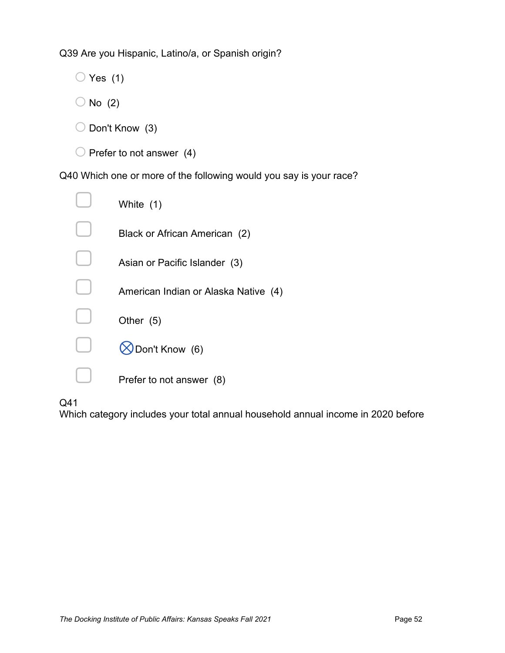Q39 Are you Hispanic, Latino/a, or Spanish origin?

 $\bigcirc$  Yes (1)

- $\bigcirc$  No (2)
- $\bigcirc$  Don't Know (3)
- $\bigcirc$  Prefer to not answer (4)

Q40 Which one or more of the following would you say is your race?

| White (1)                            |
|--------------------------------------|
| Black or African American (2)        |
| Asian or Pacific Islander (3)        |
| American Indian or Alaska Native (4) |
| Other (5)                            |
| Don't Know (6)                       |
| Prefer to not answer (8)             |

# Q41

Which category includes your total annual household annual income in 2020 before